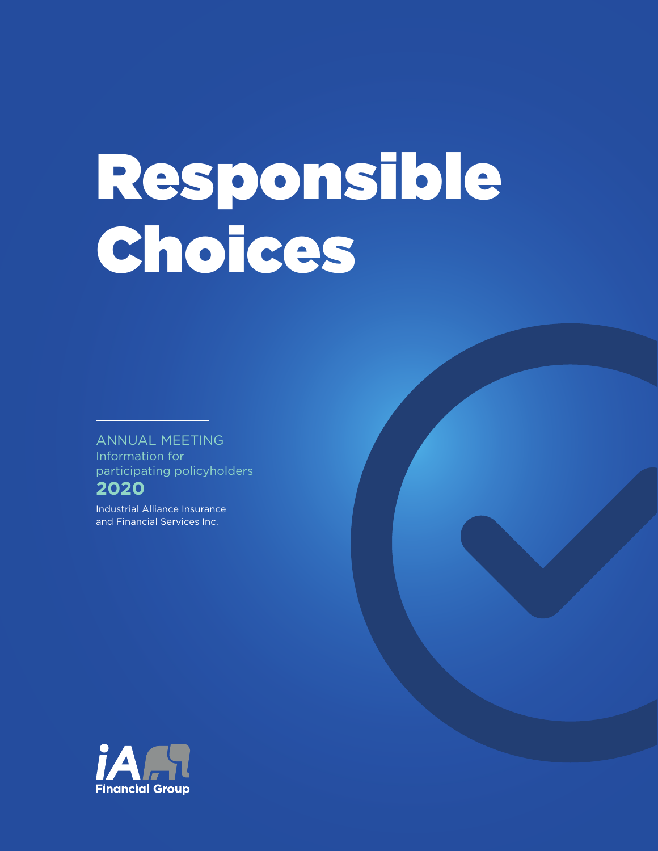# Responsible Choices

ANNUAL MEETING Information for participating policyholders **2020**

Industrial Alliance Insurance and Financial Services Inc.

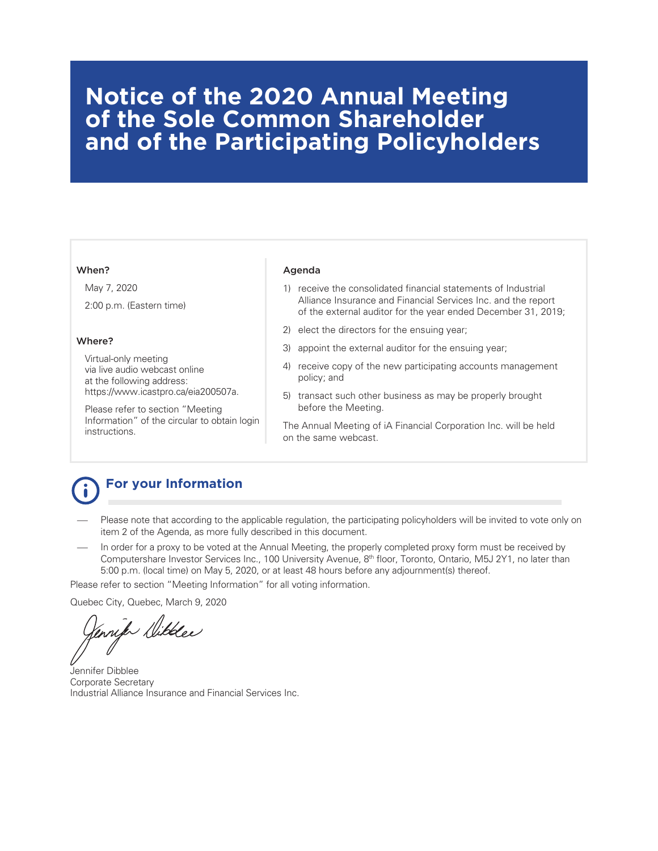# **Notice of the 2020 Annual Meeting of the Sole Common Shareholder and of the Participating Policyholders**

#### When?

May 7, 2020 2:00 p.m. (Eastern time)

#### Where?

Virtual-only meeting via live audio webcast online at the following address: https://www.icastpro.ca/eia200507a.

Please refer to section "Meeting Information" of the circular to obtain login instructions.

#### Agenda

- 1) receive the consolidated financial statements of Industrial Alliance Insurance and Financial Services Inc. and the report of the external auditor for the year ended December 31, 2019;
- 2) elect the directors for the ensuing year;
- 3) appoint the external auditor for the ensuing year;
- 4) receive copy of the new participating accounts management policy; and
- 5) transact such other business as may be properly brought before the Meeting.

The Annual Meeting of iA Financial Corporation Inc. will be held on the same webcast.

# **For your Information**

- Please note that according to the applicable regulation, the participating policyholders will be invited to vote only on item 2 of the Agenda, as more fully described in this document.
- In order for a proxy to be voted at the Annual Meeting, the properly completed proxy form must be received by Computershare Investor Services Inc., 100 University Avenue, 8th floor, Toronto, Ontario, M5J 2Y1, no later than 5:00 p.m. (local time) on May 5, 2020, or at least 48 hours before any adjournment(s) thereof.

Please refer to section "Meeting Information" for all voting information.

Quebec City, Quebec, March 9, 2020

Vennifo Willee

Jennifer Dibblee Corporate Secretary Industrial Alliance Insurance and Financial Services Inc.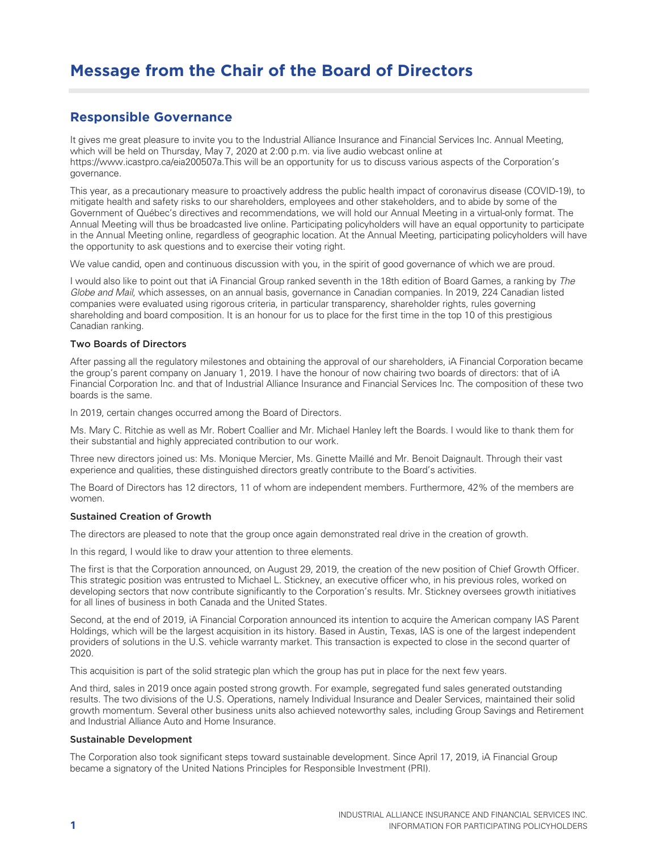# **Message from the Chair of the Board of Directors**

### **Responsible Governance**

It gives me great pleasure to invite you to the Industrial Alliance Insurance and Financial Services Inc. Annual Meeting, which will be held on Thursday, May 7, 2020 at 2:00 p.m. via live audio webcast online at https://www.icastpro.ca/eia200507a.This will be an opportunity for us to discuss various aspects of the Corporation's governance.

This year, as a precautionary measure to proactively address the public health impact of coronavirus disease (COVID-19), to mitigate health and safety risks to our shareholders, employees and other stakeholders, and to abide by some of the Government of Québec's directives and recommendations, we will hold our Annual Meeting in a virtual-only format. The Annual Meeting will thus be broadcasted live online. Participating policyholders will have an equal opportunity to participate in the Annual Meeting online, regardless of geographic location. At the Annual Meeting, participating policyholders will have the opportunity to ask questions and to exercise their voting right.

We value candid, open and continuous discussion with you, in the spirit of good governance of which we are proud.

I would also like to point out that iA Financial Group ranked seventh in the 18th edition of Board Games, a ranking by The Globe and Mail, which assesses, on an annual basis, governance in Canadian companies. In 2019, 224 Canadian listed companies were evaluated using rigorous criteria, in particular transparency, shareholder rights, rules governing shareholding and board composition. It is an honour for us to place for the first time in the top 10 of this prestigious Canadian ranking.

#### Two Boards of Directors

After passing all the regulatory milestones and obtaining the approval of our shareholders, iA Financial Corporation became the group's parent company on January 1, 2019. I have the honour of now chairing two boards of directors: that of iA Financial Corporation Inc. and that of Industrial Alliance Insurance and Financial Services Inc. The composition of these two boards is the same.

In 2019, certain changes occurred among the Board of Directors.

Ms. Mary C. Ritchie as well as Mr. Robert Coallier and Mr. Michael Hanley left the Boards. I would like to thank them for their substantial and highly appreciated contribution to our work.

Three new directors joined us: Ms. Monique Mercier, Ms. Ginette Maillé and Mr. Benoit Daignault. Through their vast experience and qualities, these distinguished directors greatly contribute to the Board's activities.

The Board of Directors has 12 directors, 11 of whom are independent members. Furthermore, 42% of the members are women.

#### Sustained Creation of Growth

The directors are pleased to note that the group once again demonstrated real drive in the creation of growth.

In this regard, I would like to draw your attention to three elements.

The first is that the Corporation announced, on August 29, 2019, the creation of the new position of Chief Growth Officer. This strategic position was entrusted to Michael L. Stickney, an executive officer who, in his previous roles, worked on developing sectors that now contribute significantly to the Corporation's results. Mr. Stickney oversees growth initiatives for all lines of business in both Canada and the United States.

Second, at the end of 2019, iA Financial Corporation announced its intention to acquire the American company IAS Parent Holdings, which will be the largest acquisition in its history. Based in Austin, Texas, IAS is one of the largest independent providers of solutions in the U.S. vehicle warranty market. This transaction is expected to close in the second quarter of 2020.

This acquisition is part of the solid strategic plan which the group has put in place for the next few years.

And third, sales in 2019 once again posted strong growth. For example, segregated fund sales generated outstanding results. The two divisions of the U.S. Operations, namely Individual Insurance and Dealer Services, maintained their solid growth momentum. Several other business units also achieved noteworthy sales, including Group Savings and Retirement and Industrial Alliance Auto and Home Insurance.

#### Sustainable Development

The Corporation also took significant steps toward sustainable development. Since April 17, 2019, iA Financial Group became a signatory of the United Nations Principles for Responsible Investment (PRI).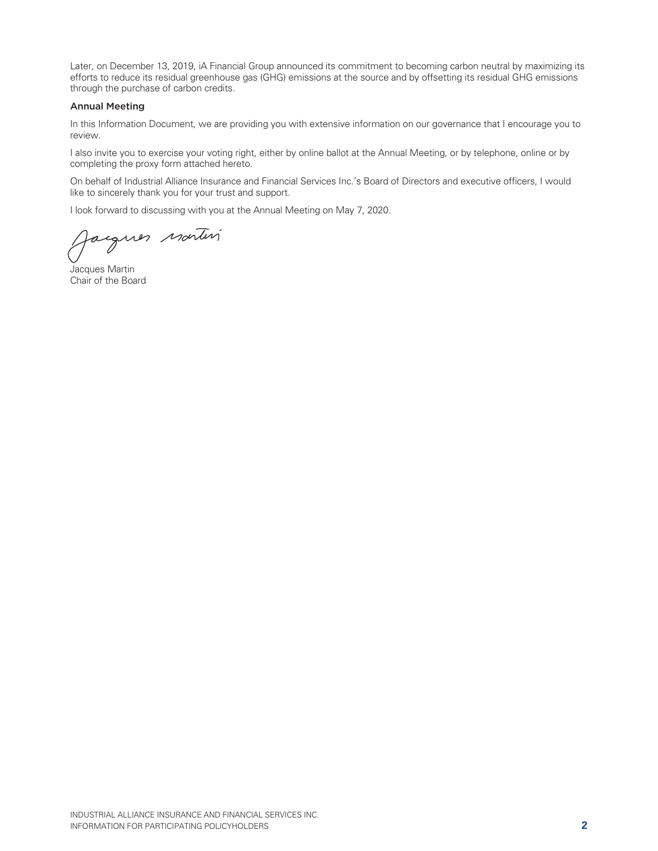Later, on December 13, 2019, iA Financial Group announced its commitment to becoming carbon neutral by maximizing its efforts to reduce its residual greenhouse gas (GHG) emissions at the source and by offsetting its residual GHG emissions through the purchase of carbon credits.

#### Annual Meeting

In this Information Document, we are providing you with extensive information on our governance that I encourage you to review.

I also invite you to exercise your voting right, either by online ballot at the Annual Meeting, or by telephone, online or by completing the proxy form attached hereto.

On behalf of Industrial Alliance Insurance and Financial Services Inc.'s Board of Directors and executive officers, I would like to sincerely thank you for your trust and support.

I look forward to discussing with you at the Annual Meeting on May 7, 2020.

egues nortin

Jacques Martin Chair of the Board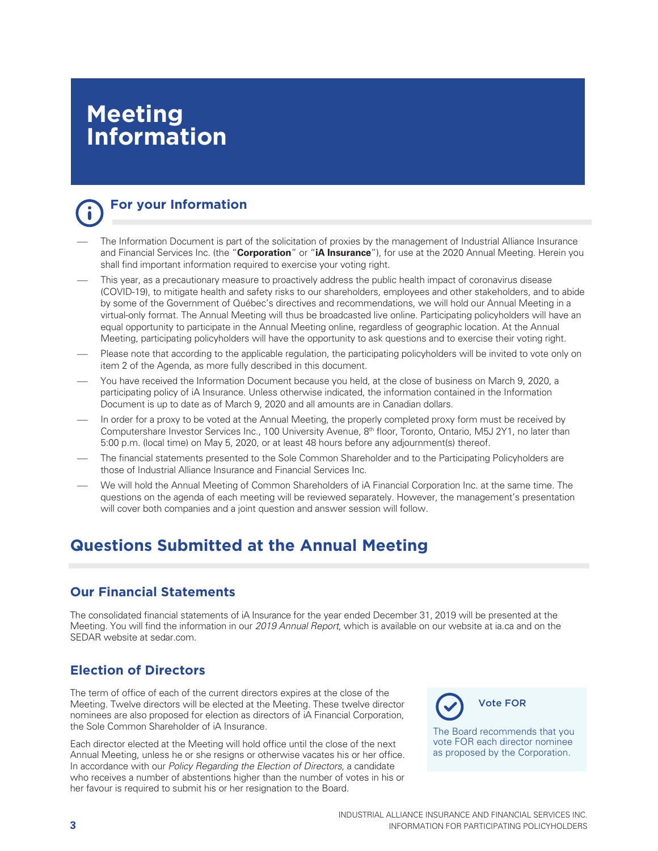# **Meeting Information**



# **For your Information**

- The Information Document is part of the solicitation of proxies by the management of Industrial Alliance Insurance and Financial Services Inc. (the "**Corporation**" or "**iA Insurance**"), for use at the 2020 Annual Meeting. Herein you shall find important information required to exercise your voting right.
- This year, as a precautionary measure to proactively address the public health impact of coronavirus disease (COVID-19), to mitigate health and safety risks to our shareholders, employees and other stakeholders, and to abide by some of the Government of Québec's directives and recommendations, we will hold our Annual Meeting in a virtual-only format. The Annual Meeting will thus be broadcasted live online. Participating policyholders will have an equal opportunity to participate in the Annual Meeting online, regardless of geographic location. At the Annual Meeting, participating policyholders will have the opportunity to ask questions and to exercise their voting right.
- Please note that according to the applicable regulation, the participating policyholders will be invited to vote only on item 2 of the Agenda, as more fully described in this document.
- You have received the Information Document because you held, at the close of business on March 9, 2020, a participating policy of iA Insurance. Unless otherwise indicated, the information contained in the Information Document is up to date as of March 9, 2020 and all amounts are in Canadian dollars.
- In order for a proxy to be voted at the Annual Meeting, the properly completed proxy form must be received by Computershare Investor Services Inc., 100 University Avenue, 8th floor, Toronto, Ontario, M5J 2Y1, no later than 5:00 p.m. (local time) on May 5, 2020, or at least 48 hours before any adjournment(s) thereof.
- The financial statements presented to the Sole Common Shareholder and to the Participating Policyholders are those of Industrial Alliance Insurance and Financial Services Inc.
- We will hold the Annual Meeting of Common Shareholders of iA Financial Corporation Inc. at the same time. The questions on the agenda of each meeting will be reviewed separately. However, the management's presentation will cover both companies and a joint question and answer session will follow.

# **Questions Submitted at the Annual Meeting**

# **Our Financial Statements**

The consolidated financial statements of iA Insurance for the year ended December 31, 2019 will be presented at the Meeting. You will find the information in our 2019 Annual Report, which is available on our website at ia.ca and on the SEDAR website at sedar.com.

# **Election of Directors**

The term of office of each of the current directors expires at the close of the Meeting. Twelve directors will be elected at the Meeting. These twelve director nominees are also proposed for election as directors of iA Financial Corporation, the Sole Common Shareholder of iA Insurance.

Each director elected at the Meeting will hold office until the close of the next Annual Meeting, unless he or she resigns or otherwise vacates his or her office. In accordance with our Policy Regarding the Election of Directors, a candidate who receives a number of abstentions higher than the number of votes in his or her favour is required to submit his or her resignation to the Board.



The Board recommends that you vote FOR each director nominee as proposed by the Corporation.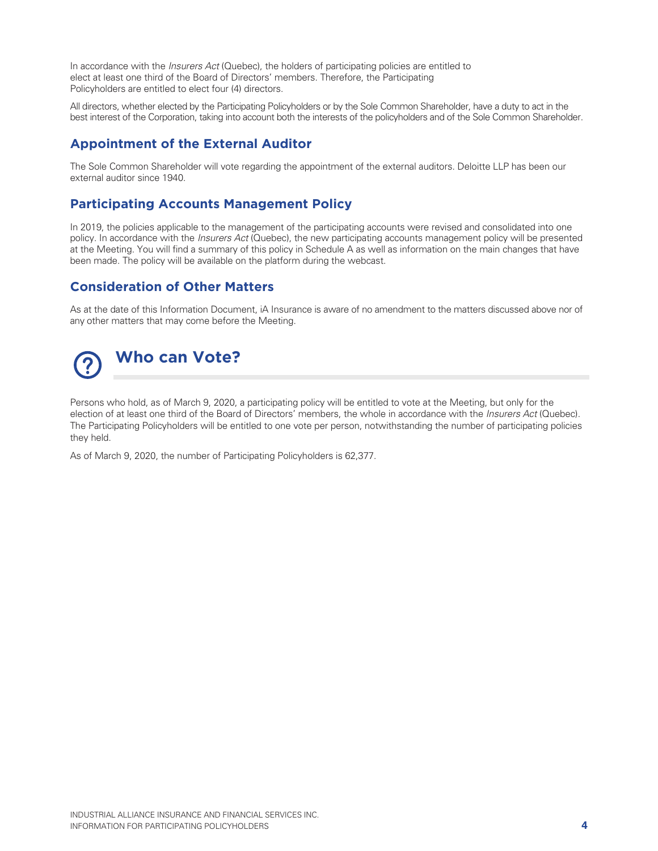In accordance with the *Insurers Act* (Quebec), the holders of participating policies are entitled to elect at least one third of the Board of Directors' members. Therefore, the Participating Policyholders are entitled to elect four (4) directors.

All directors, whether elected by the Participating Policyholders or by the Sole Common Shareholder, have a duty to act in the best interest of the Corporation, taking into account both the interests of the policyholders and of the Sole Common Shareholder.

# **Appointment of the External Auditor**

The Sole Common Shareholder will vote regarding the appointment of the external auditors. Deloitte LLP has been our external auditor since 1940.

# **Participating Accounts Management Policy**

In 2019, the policies applicable to the management of the participating accounts were revised and consolidated into one policy. In accordance with the *Insurers Act* (Quebec), the new participating accounts management policy will be presented at the Meeting. You will find a summary of this policy in Schedule A as well as information on the main changes that have been made. The policy will be available on the platform during the webcast.

### **Consideration of Other Matters**

As at the date of this Information Document, iA Insurance is aware of no amendment to the matters discussed above nor of any other matters that may come before the Meeting.



Persons who hold, as of March 9, 2020, a participating policy will be entitled to vote at the Meeting, but only for the election of at least one third of the Board of Directors' members, the whole in accordance with the *Insurers Act* (Quebec). The Participating Policyholders will be entitled to one vote per person, notwithstanding the number of participating policies they held.

As of March 9, 2020, the number of Participating Policyholders is 62,377.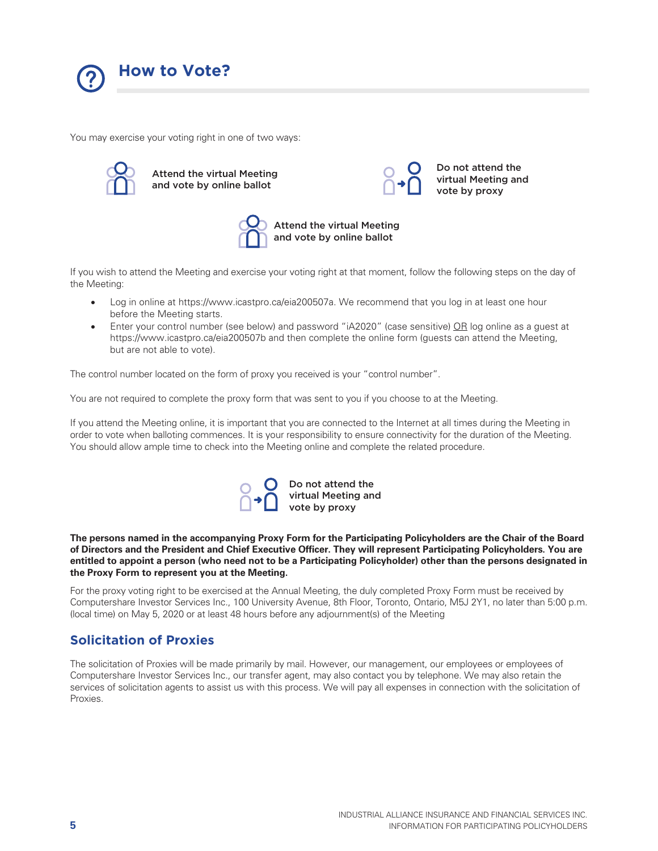

You may exercise your voting right in one of two ways:



Attend the virtual Meeting and vote by online ballot



Attend the virtual Meeting and vote by online ballot

If you wish to attend the Meeting and exercise your voting right at that moment, follow the following steps on the day of the Meeting:

- Log in online at https://www.icastpro.ca/eia200507a. We recommend that you log in at least one hour before the Meeting starts.
- Enter your control number (see below) and password "iA2020" (case sensitive) OR log online as a guest at https://www.icastpro.ca/eia200507b and then complete the online form (guests can attend the Meeting, but are not able to vote).

The control number located on the form of proxy you received is your "control number".

You are not required to complete the proxy form that was sent to you if you choose to at the Meeting.

If you attend the Meeting online, it is important that you are connected to the Internet at all times during the Meeting in order to vote when balloting commences. It is your responsibility to ensure connectivity for the duration of the Meeting. You should allow ample time to check into the Meeting online and complete the related procedure.



**The persons named in the accompanying Proxy Form for the Participating Policyholders are the Chair of the Board of Directors and the President and Chief Executive Officer. They will represent Participating Policyholders. You are entitled to appoint a person (who need not to be a Participating Policyholder) other than the persons designated in the Proxy Form to represent you at the Meeting.** 

For the proxy voting right to be exercised at the Annual Meeting, the duly completed Proxy Form must be received by Computershare Investor Services Inc., 100 University Avenue, 8th Floor, Toronto, Ontario, M5J 2Y1, no later than 5:00 p.m. (local time) on May 5, 2020 or at least 48 hours before any adjournment(s) of the Meeting

### **Solicitation of Proxies**

The solicitation of Proxies will be made primarily by mail. However, our management, our employees or employees of Computershare Investor Services Inc., our transfer agent, may also contact you by telephone. We may also retain the services of solicitation agents to assist us with this process. We will pay all expenses in connection with the solicitation of Proxies.

Do not attend the virtual Meeting and vote by proxy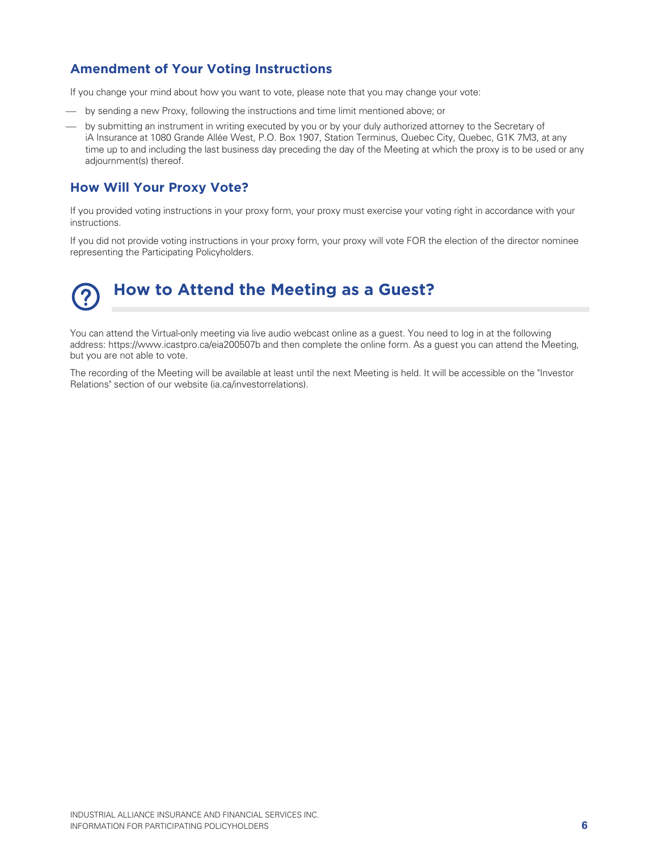# **Amendment of Your Voting Instructions**

If you change your mind about how you want to vote, please note that you may change your vote:

- by sending a new Proxy, following the instructions and time limit mentioned above; or
- by submitting an instrument in writing executed by you or by your duly authorized attorney to the Secretary of iA Insurance at 1080 Grande Allée West, P.O. Box 1907, Station Terminus, Quebec City, Quebec, G1K 7M3, at any time up to and including the last business day preceding the day of the Meeting at which the proxy is to be used or any adjournment(s) thereof.

### **How Will Your Proxy Vote?**

If you provided voting instructions in your proxy form, your proxy must exercise your voting right in accordance with your instructions.

If you did not provide voting instructions in your proxy form, your proxy will vote FOR the election of the director nominee representing the Participating Policyholders.

# **How to Attend the Meeting as a Guest?**

You can attend the Virtual-only meeting via live audio webcast online as a guest. You need to log in at the following address: https://www.icastpro.ca/eia200507b and then complete the online form. As a guest you can attend the Meeting, but you are not able to vote.

The recording of the Meeting will be available at least until the next Meeting is held. It will be accessible on the "Investor Relations" section of our website (ia.ca/investorrelations).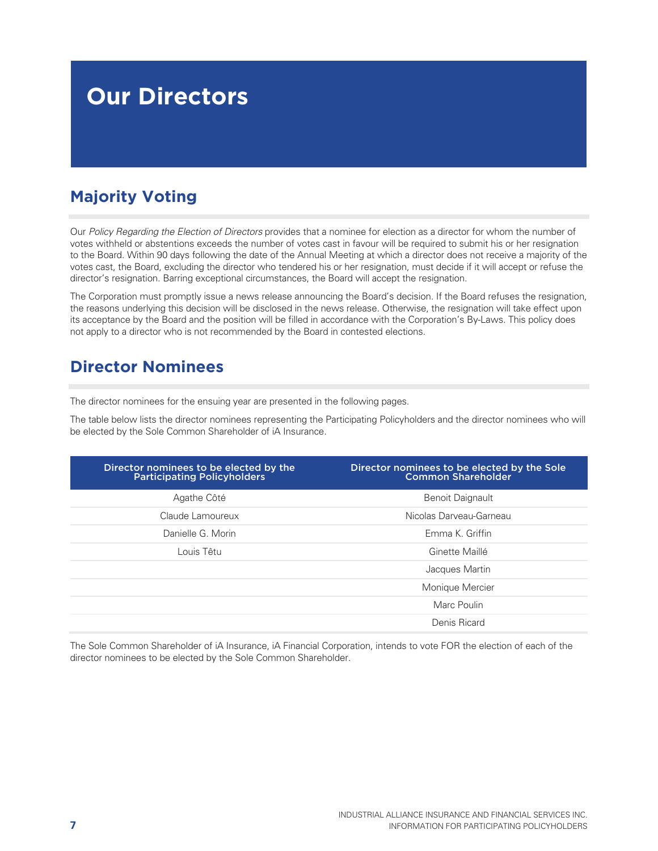# **Our Directors**

# **Majority Voting**

Our Policy Regarding the Election of Directors provides that a nominee for election as a director for whom the number of votes withheld or abstentions exceeds the number of votes cast in favour will be required to submit his or her resignation to the Board. Within 90 days following the date of the Annual Meeting at which a director does not receive a majority of the votes cast, the Board, excluding the director who tendered his or her resignation, must decide if it will accept or refuse the director's resignation. Barring exceptional circumstances, the Board will accept the resignation.

The Corporation must promptly issue a news release announcing the Board's decision. If the Board refuses the resignation, the reasons underlying this decision will be disclosed in the news release. Otherwise, the resignation will take effect upon its acceptance by the Board and the position will be filled in accordance with the Corporation's By-Laws. This policy does not apply to a director who is not recommended by the Board in contested elections.

# **Director Nominees**

The director nominees for the ensuing year are presented in the following pages.

The table below lists the director nominees representing the Participating Policyholders and the director nominees who will be elected by the Sole Common Shareholder of iA Insurance.

| Director nominees to be elected by the<br><b>Participating Policyholders</b> | Director nominees to be elected by the Sole<br><b>Common Shareholder</b> |
|------------------------------------------------------------------------------|--------------------------------------------------------------------------|
| Agathe Côté                                                                  | <b>Benoit Daignault</b>                                                  |
| Claude Lamoureux                                                             | Nicolas Darveau-Garneau                                                  |
| Danielle G. Morin                                                            | Emma K. Griffin                                                          |
| Louis Têtu                                                                   | Ginette Maillé                                                           |
|                                                                              | Jacques Martin                                                           |
|                                                                              | Monique Mercier                                                          |
|                                                                              | Marc Poulin                                                              |
|                                                                              | Denis Ricard                                                             |

The Sole Common Shareholder of iA Insurance, iA Financial Corporation, intends to vote FOR the election of each of the director nominees to be elected by the Sole Common Shareholder.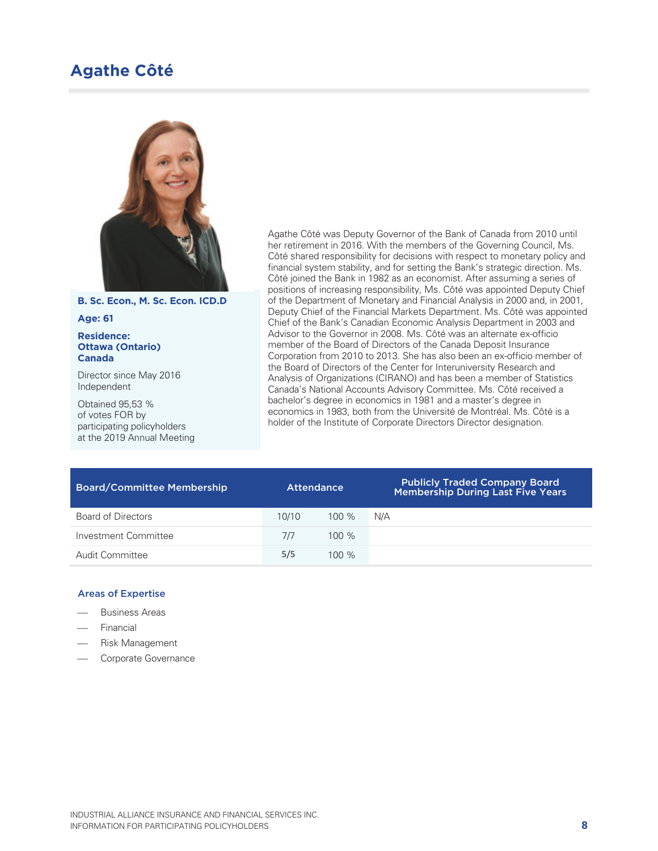# **Agathe Côté**



**B. Sc. Econ., M. Sc. Econ. ICD.D** 

#### **Age: 61**

#### **Residence: Ottawa (Ontario) Canada**

Director since May 2016 Independent

Obtained 95,53 % of votes FOR by participating policyholders at the 2019 Annual Meeting Agathe Côté was Deputy Governor of the Bank of Canada from 2010 until her retirement in 2016. With the members of the Governing Council, Ms. Côté shared responsibility for decisions with respect to monetary policy and financial system stability, and for setting the Bank's strategic direction. Ms. Côté joined the Bank in 1982 as an economist. After assuming a series of positions of increasing responsibility, Ms. Côté was appointed Deputy Chief of the Department of Monetary and Financial Analysis in 2000 and, in 2001, Deputy Chief of the Financial Markets Department. Ms. Côté was appointed Chief of the Bank's Canadian Economic Analysis Department in 2003 and Advisor to the Governor in 2008. Ms. Côté was an alternate ex-officio member of the Board of Directors of the Canada Deposit Insurance Corporation from 2010 to 2013. She has also been an ex-officio member of the Board of Directors of the Center for Interuniversity Research and Analysis of Organizations (CIRANO) and has been a member of Statistics Canada's National Accounts Advisory Committee. Ms. Côté received a bachelor's degree in economics in 1981 and a master's degree in economics in 1983, both from the Université de Montréal. Ms. Côté is a holder of the Institute of Corporate Directors Director designation.

| <b>Board/Committee Membership</b> | Attendance |         | <b>Publicly Traded Company Board</b><br>Membership During Last Five Years |
|-----------------------------------|------------|---------|---------------------------------------------------------------------------|
| <b>Board of Directors</b>         | 10/10      | $100\%$ | N/A                                                                       |
| Investment Committee              | 7/7        | $100\%$ |                                                                           |
| Audit Committee                   | 5/5        | $100\%$ |                                                                           |

- Business Areas
- Financial
- Risk Management
- Corporate Governance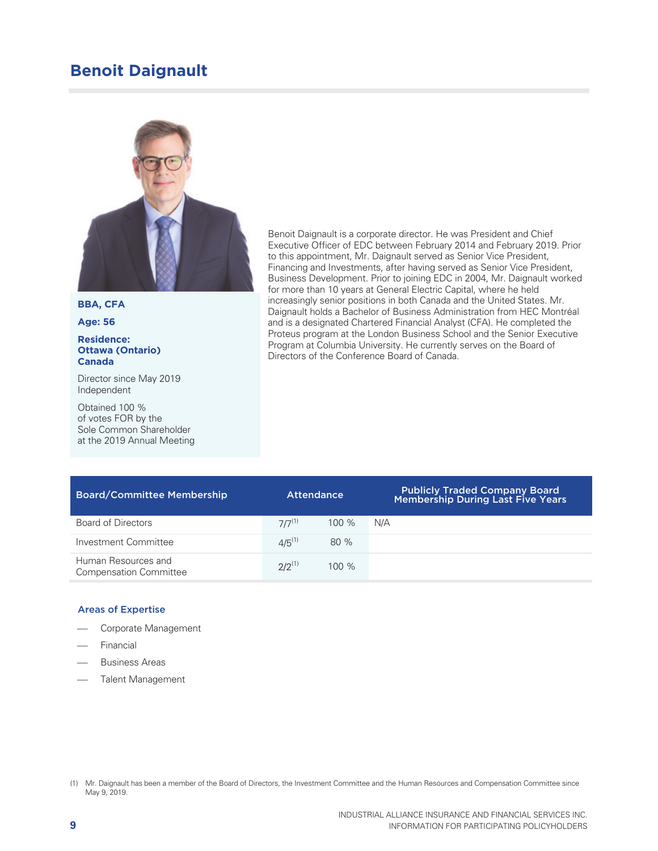# **Benoit Daignault**



**BBA, CFA** 

**Age: 56** 

#### **Residence: Ottawa (Ontario) Canada**

Director since May 2019 Independent

Obtained 100 % of votes FOR by the Sole Common Shareholder at the 2019 Annual Meeting Benoit Daignault is a corporate director. He was President and Chief Executive Officer of EDC between February 2014 and February 2019. Prior to this appointment, Mr. Daignault served as Senior Vice President, Financing and Investments, after having served as Senior Vice President, Business Development. Prior to joining EDC in 2004, Mr. Daignault worked for more than 10 years at General Electric Capital, where he held increasingly senior positions in both Canada and the United States. Mr. Daignault holds a Bachelor of Business Administration from HEC Montréal and is a designated Chartered Financial Analyst (CFA). He completed the Proteus program at the London Business School and the Senior Executive Program at Columbia University. He currently serves on the Board of Directors of the Conference Board of Canada.

| <b>Board/Committee Membership</b>                    | <b>Attendance</b> |         | <b>Publicly Traded Company Board</b><br><b>Membership During Last Five Years</b> |
|------------------------------------------------------|-------------------|---------|----------------------------------------------------------------------------------|
| Board of Directors                                   | $7/7^{(1)}$       | $100\%$ | N/A                                                                              |
| Investment Committee                                 | $4/5^{(1)}$       | 80%     |                                                                                  |
| Human Resources and<br><b>Compensation Committee</b> | $2/2^{(1)}$       | 100%    |                                                                                  |

- Corporate Management
- Financial
- Business Areas
- Talent Management

<sup>(1)</sup> Mr. Daignault has been a member of the Board of Directors, the Investment Committee and the Human Resources and Compensation Committee since May 9, 2019.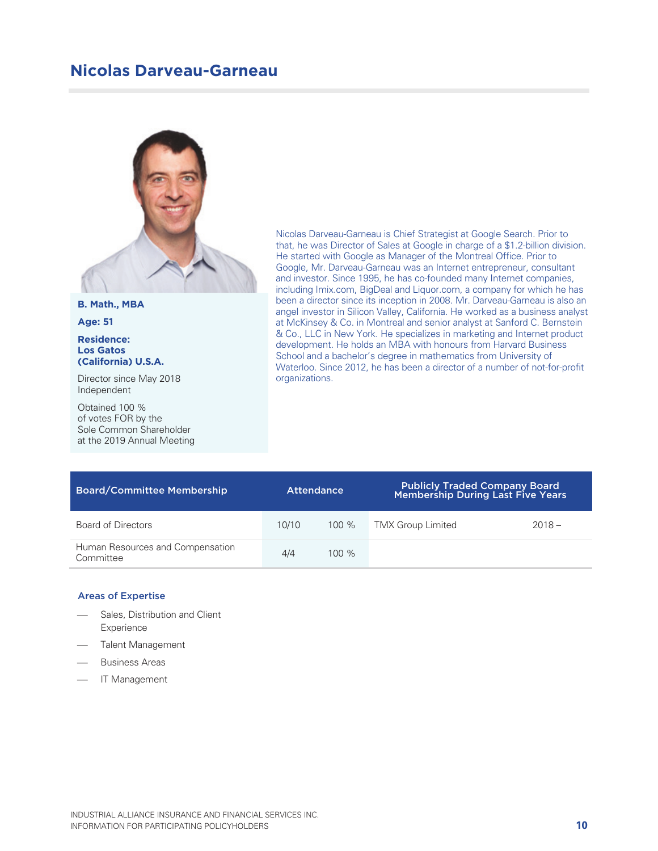# **Nicolas Darveau-Garneau**



**B. Math., MBA** 

**Age: 51** 

#### **Residence: Los Gatos (California) U.S.A.**

Director since May 2018 Independent

Obtained 100 % of votes FOR by the Sole Common Shareholder at the 2019 Annual Meeting

Nicolas Darveau-Garneau is Chief Strategist at Google Search. Prior to that, he was Director of Sales at Google in charge of a \$1.2-billion division. He started with Google as Manager of the Montreal Office. Prior to Google, Mr. Darveau-Garneau was an Internet entrepreneur, consultant and investor. Since 1995, he has co-founded many Internet companies, including Imix.com, BigDeal and Liquor.com, a company for which he has been a director since its inception in 2008. Mr. Darveau-Garneau is also an angel investor in Silicon Valley, California. He worked as a business analyst at McKinsey & Co. in Montreal and senior analyst at Sanford C. Bernstein & Co., LLC in New York. He specializes in marketing and Internet product development. He holds an MBA with honours from Harvard Business School and a bachelor's degree in mathematics from University of Waterloo. Since 2012, he has been a director of a number of not-for-profit organizations.

| <b>Board/Committee Membership</b>             | <b>Attendance</b> |         | <b>Publicly Traded Company Board</b><br>Membership During Last Five Years |          |
|-----------------------------------------------|-------------------|---------|---------------------------------------------------------------------------|----------|
| Board of Directors                            | 10/10             | $100\%$ | <b>TMX Group Limited</b>                                                  | $2018 -$ |
| Human Resources and Compensation<br>Committee | 4/4               | $100\%$ |                                                                           |          |

- Sales, Distribution and Client Experience
- Talent Management
- Business Areas
- IT Management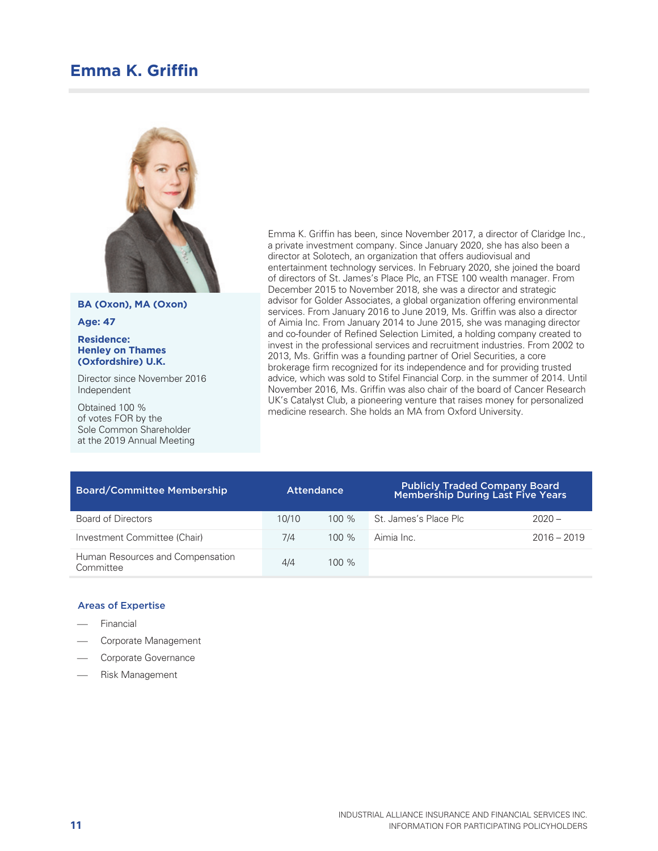# **Emma K. Griffin**



**BA (Oxon), MA (Oxon)** 

**Age: 47** 

#### **Residence: Henley on Thames (Oxfordshire) U.K.**

Director since November 2016 Independent

Obtained 100 % of votes FOR by the Sole Common Shareholder at the 2019 Annual Meeting Emma K. Griffin has been, since November 2017, a director of Claridge Inc., a private investment company. Since January 2020, she has also been a director at Solotech, an organization that offers audiovisual and entertainment technology services. In February 2020, she joined the board of directors of St. James's Place Plc, an FTSE 100 wealth manager. From December 2015 to November 2018, she was a director and strategic advisor for Golder Associates, a global organization offering environmental services. From January 2016 to June 2019, Ms. Griffin was also a director of Aimia Inc. From January 2014 to June 2015, she was managing director and co-founder of Refined Selection Limited, a holding company created to invest in the professional services and recruitment industries. From 2002 to 2013, Ms. Griffin was a founding partner of Oriel Securities, a core brokerage firm recognized for its independence and for providing trusted advice, which was sold to Stifel Financial Corp. in the summer of 2014. Until November 2016, Ms. Griffin was also chair of the board of Cancer Research UK's Catalyst Club, a pioneering venture that raises money for personalized medicine research. She holds an MA from Oxford University.

| <b>Board/Committee Membership</b>             |       | <b>Attendance</b> | <b>Publicly Traded Company Board</b><br><b>Membership During Last Five Years</b> |               |
|-----------------------------------------------|-------|-------------------|----------------------------------------------------------------------------------|---------------|
| Board of Directors                            | 10/10 | $100\%$           | St. James's Place Plc.                                                           | $2020 -$      |
| Investment Committee (Chair)                  | 7/4   | $100\%$           | Aimia Inc.                                                                       | $2016 - 2019$ |
| Human Resources and Compensation<br>Committee | 4/4   | $100\%$           |                                                                                  |               |

- Financial
- Corporate Management
- Corporate Governance
- Risk Management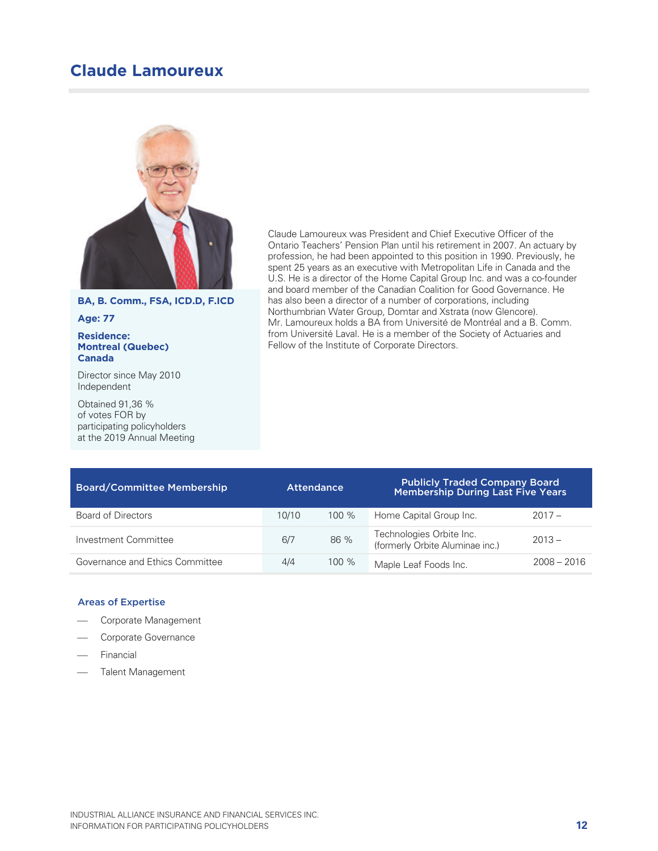# **Claude Lamoureux**



**BA, B. Comm., FSA, ICD.D, F.ICD** 

**Age: 77** 

#### **Residence: Montreal (Quebec) Canada**

Director since May 2010 Independent

Obtained 91,36 % of votes FOR by participating policyholders at the 2019 Annual Meeting Claude Lamoureux was President and Chief Executive Officer of the Ontario Teachers' Pension Plan until his retirement in 2007. An actuary by profession, he had been appointed to this position in 1990. Previously, he spent 25 years as an executive with Metropolitan Life in Canada and the U.S. He is a director of the Home Capital Group Inc. and was a co-founder and board member of the Canadian Coalition for Good Governance. He has also been a director of a number of corporations, including Northumbrian Water Group, Domtar and Xstrata (now Glencore). Mr. Lamoureux holds a BA from Université de Montréal and a B. Comm. from Université Laval. He is a member of the Society of Actuaries and Fellow of the Institute of Corporate Directors.

| <b>Board/Committee Membership</b> | <b>Attendance</b> |         | <b>Publicly Traded Company Board</b><br>Membership During Last Five Years |               |
|-----------------------------------|-------------------|---------|---------------------------------------------------------------------------|---------------|
| Board of Directors                | 10/10             | $100\%$ | Home Capital Group Inc.                                                   | $2017 -$      |
| Investment Committee              | 6/7               | 86 %    | Technologies Orbite Inc.<br>(formerly Orbite Aluminae inc.)               | $2013 -$      |
| Governance and Ethics Committee   | 4/4               | $100\%$ | Maple Leaf Foods Inc.                                                     | $2008 - 2016$ |

- Corporate Management
- Corporate Governance
- Financial
- Talent Management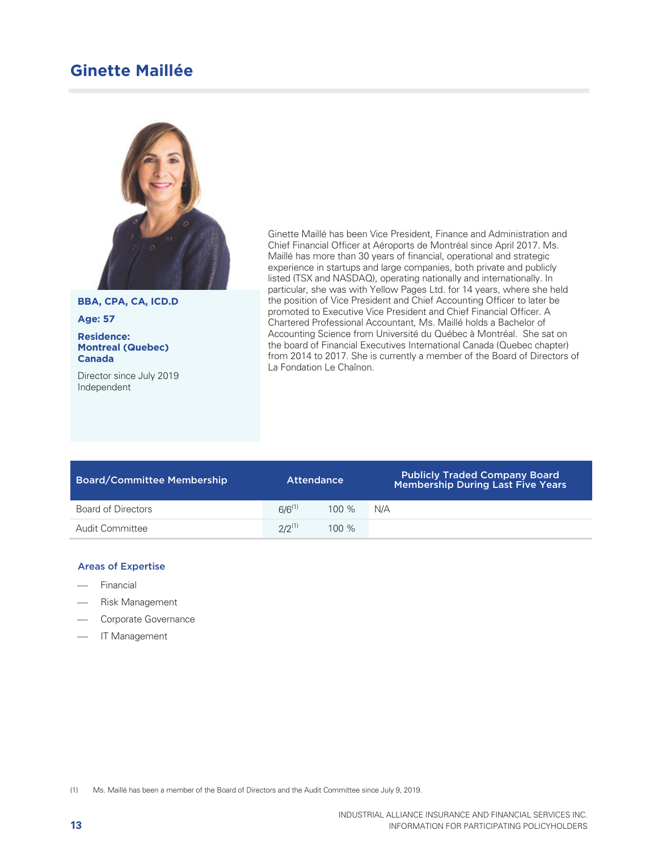# **Ginette Maillée**



**BBA, CPA, CA, ICD.D** 

**Age: 57** 

**Residence: Montreal (Quebec) Canada** 

Director since July 2019 Independent

Ginette Maillé has been Vice President, Finance and Administration and Chief Financial Officer at Aéroports de Montréal since April 2017. Ms. Maillé has more than 30 years of financial, operational and strategic experience in startups and large companies, both private and publicly listed (TSX and NASDAQ), operating nationally and internationally. In particular, she was with Yellow Pages Ltd. for 14 years, where she held the position of Vice President and Chief Accounting Officer to later be promoted to Executive Vice President and Chief Financial Officer. A Chartered Professional Accountant, Ms. Maillé holds a Bachelor of Accounting Science from Université du Québec à Montréal. She sat on the board of Financial Executives International Canada (Quebec chapter) from 2014 to 2017. She is currently a member of the Board of Directors of La Fondation Le Chaînon.

| <b>Board/Committee Membership</b> | <b>Attendance</b> |         | Publicly Traded Company Board<br>Membership During Last Five Years |
|-----------------------------------|-------------------|---------|--------------------------------------------------------------------|
| Board of Directors                | $6/6^{(1)}$       | $100\%$ | N/A                                                                |
| Audit Committee                   | $2/2^{(1)}$       | $100\%$ |                                                                    |

#### Areas of Expertise

- Financial
- Risk Management
- Corporate Governance
- IT Management

(1) Ms. Maillé has been a member of the Board of Directors and the Audit Committee since July 9, 2019.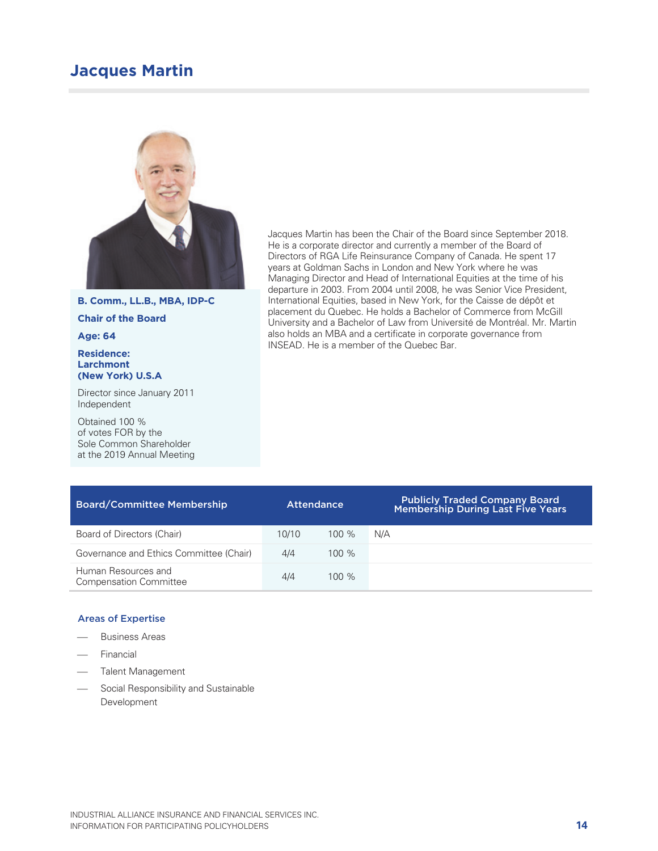# **Jacques Martin**



#### **B. Comm., LL.B., MBA, IDP-C**

**Chair of the Board** 

#### **Age: 64**

#### **Residence: Larchmont (New York) U.S.A**

Director since January 2011 Independent

Obtained 100 % of votes FOR by the Sole Common Shareholder at the 2019 Annual Meeting Jacques Martin has been the Chair of the Board since September 2018. He is a corporate director and currently a member of the Board of Directors of RGA Life Reinsurance Company of Canada. He spent 17 years at Goldman Sachs in London and New York where he was Managing Director and Head of International Equities at the time of his departure in 2003. From 2004 until 2008, he was Senior Vice President, International Equities, based in New York, for the Caisse de dépôt et placement du Quebec. He holds a Bachelor of Commerce from McGill University and a Bachelor of Law from Université de Montréal. Mr. Martin also holds an MBA and a certificate in corporate governance from INSEAD. He is a member of the Quebec Bar.

| <b>Board/Committee Membership</b>                    | <b>Attendance</b> |          | <b>Publicly Traded Company Board</b><br>Membership During Last Five Years |
|------------------------------------------------------|-------------------|----------|---------------------------------------------------------------------------|
| Board of Directors (Chair)                           | 10/10             | $100\%$  | N/A                                                                       |
| Governance and Ethics Committee (Chair)              | 4/4               | $100\%$  |                                                                           |
| Human Resources and<br><b>Compensation Committee</b> | 4/4               | $100 \%$ |                                                                           |

- Business Areas
- Financial
- Talent Management
- Social Responsibility and Sustainable Development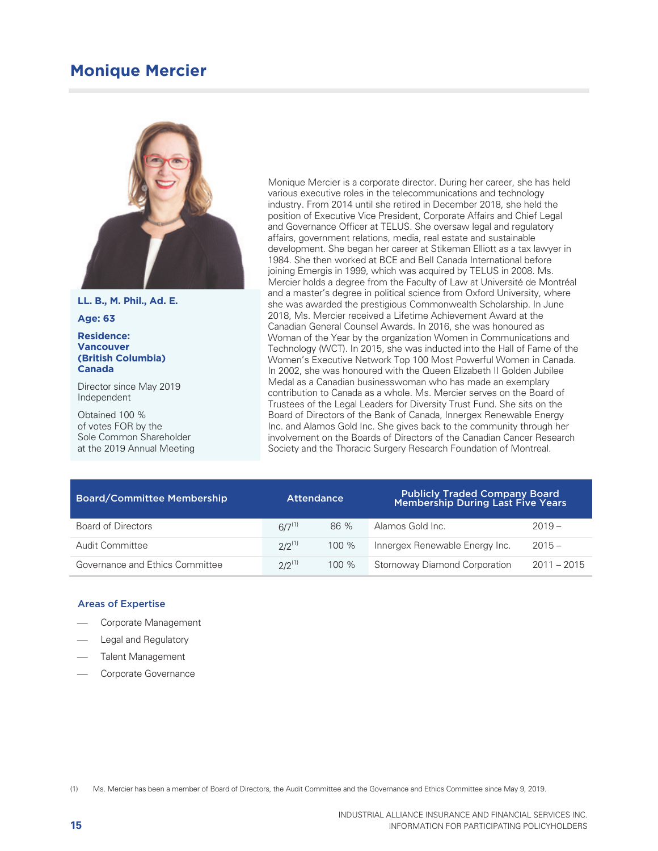# **Monique Mercier**



**LL. B., M. Phil., Ad. E.** 

**Age: 63** 

#### **Residence: Vancouver (British Columbia) Canada**

Director since May 2019 Independent

Obtained 100 % of votes FOR by the Sole Common Shareholder at the 2019 Annual Meeting Monique Mercier is a corporate director. During her career, she has held various executive roles in the telecommunications and technology industry. From 2014 until she retired in December 2018, she held the position of Executive Vice President, Corporate Affairs and Chief Legal and Governance Officer at TELUS. She oversaw legal and regulatory affairs, government relations, media, real estate and sustainable development. She began her career at Stikeman Elliott as a tax lawyer in 1984. She then worked at BCE and Bell Canada International before joining Emergis in 1999, which was acquired by TELUS in 2008. Ms. Mercier holds a degree from the Faculty of Law at Université de Montréal and a master's degree in political science from Oxford University, where she was awarded the prestigious Commonwealth Scholarship. In June 2018, Ms. Mercier received a Lifetime Achievement Award at the Canadian General Counsel Awards. In 2016, she was honoured as Woman of the Year by the organization Women in Communications and Technology (WCT). In 2015, she was inducted into the Hall of Fame of the Women's Executive Network Top 100 Most Powerful Women in Canada. In 2002, she was honoured with the Queen Elizabeth II Golden Jubilee Medal as a Canadian businesswoman who has made an exemplary contribution to Canada as a whole. Ms. Mercier serves on the Board of Trustees of the Legal Leaders for Diversity Trust Fund. She sits on the Board of Directors of the Bank of Canada, Innergex Renewable Energy Inc. and Alamos Gold Inc. She gives back to the community through her involvement on the Boards of Directors of the Canadian Cancer Research Society and the Thoracic Surgery Research Foundation of Montreal.

| <b>Board/Committee Membership</b> | <b>Attendance</b> |         | <b>Publicly Traded Company Board</b><br><b>Membership During Last Five Years</b> |               |
|-----------------------------------|-------------------|---------|----------------------------------------------------------------------------------|---------------|
| Board of Directors                | $6/7^{(1)}$       | 86 %    | Alamos Gold Inc.                                                                 | $2019 -$      |
| Audit Committee                   | $2/2^{(1)}$       | $100\%$ | Innergex Renewable Energy Inc.                                                   | $2015 -$      |
| Governance and Ethics Committee   | $2/2^{(1)}$       | $100\%$ | Stornoway Diamond Corporation                                                    | $2011 - 2015$ |

#### Areas of Expertise

- Corporate Management
- Legal and Regulatory
- Talent Management
- Corporate Governance

(1) Ms. Mercier has been a member of Board of Directors, the Audit Committee and the Governance and Ethics Committee since May 9, 2019.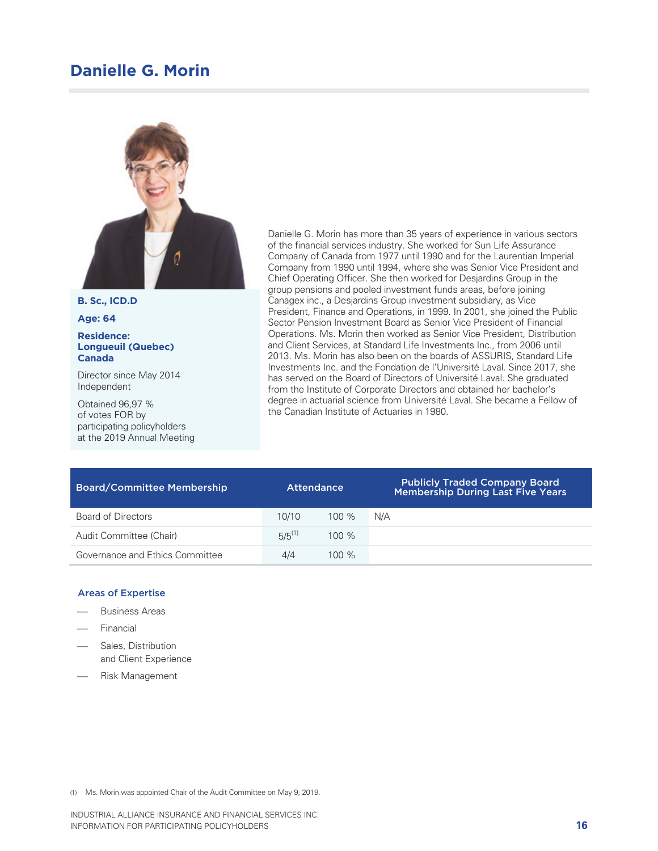# **Danielle G. Morin**



**B. Sc., ICD.D** 

**Age: 64** 

#### **Residence: Longueuil (Quebec) Canada**

Director since May 2014 Independent

Obtained 96,97 % of votes FOR by participating policyholders at the 2019 Annual Meeting Danielle G. Morin has more than 35 years of experience in various sectors of the financial services industry. She worked for Sun Life Assurance Company of Canada from 1977 until 1990 and for the Laurentian Imperial Company from 1990 until 1994, where she was Senior Vice President and Chief Operating Officer. She then worked for Desjardins Group in the group pensions and pooled investment funds areas, before joining Canagex inc., a Desjardins Group investment subsidiary, as Vice President, Finance and Operations, in 1999. In 2001, she joined the Public Sector Pension Investment Board as Senior Vice President of Financial Operations. Ms. Morin then worked as Senior Vice President, Distribution and Client Services, at Standard Life Investments Inc., from 2006 until 2013. Ms. Morin has also been on the boards of ASSURIS, Standard Life Investments Inc. and the Fondation de l'Université Laval. Since 2017, she has served on the Board of Directors of Université Laval. She graduated from the Institute of Corporate Directors and obtained her bachelor's degree in actuarial science from Université Laval. She became a Fellow of the Canadian Institute of Actuaries in 1980.

| <b>Board/Committee Membership</b> | <b>Attendance</b> |         | <b>Publicly Traded Company Board</b><br><b>Membership During Last Five Years</b> |
|-----------------------------------|-------------------|---------|----------------------------------------------------------------------------------|
| <b>Board of Directors</b>         | 10/10             | $100\%$ | N/A                                                                              |
| Audit Committee (Chair)           | $5/5^{(1)}$       | $100\%$ |                                                                                  |
| Governance and Ethics Committee   | 4/4               | $100\%$ |                                                                                  |

#### Areas of Expertise

- Business Areas
- Financial
- Sales, Distribution and Client Experience
- Risk Management

(1) Ms. Morin was appointed Chair of the Audit Committee on May 9, 2019.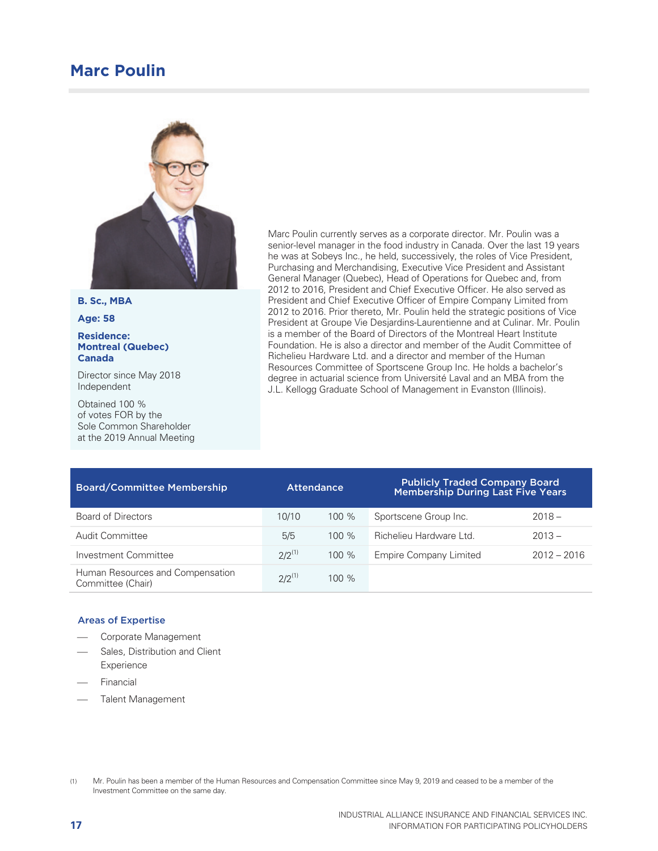# **Marc Poulin**



**B. Sc., MBA** 

**Age: 58** 

#### **Residence: Montreal (Quebec) Canada**

Director since May 2018 Independent

Obtained 100 % of votes FOR by the Sole Common Shareholder at the 2019 Annual Meeting Marc Poulin currently serves as a corporate director. Mr. Poulin was a senior-level manager in the food industry in Canada. Over the last 19 years he was at Sobeys Inc., he held, successively, the roles of Vice President, Purchasing and Merchandising, Executive Vice President and Assistant General Manager (Quebec), Head of Operations for Quebec and, from 2012 to 2016, President and Chief Executive Officer. He also served as President and Chief Executive Officer of Empire Company Limited from 2012 to 2016. Prior thereto, Mr. Poulin held the strategic positions of Vice President at Groupe Vie Desjardins-Laurentienne and at Culinar. Mr. Poulin is a member of the Board of Directors of the Montreal Heart Institute Foundation. He is also a director and member of the Audit Committee of Richelieu Hardware Ltd. and a director and member of the Human Resources Committee of Sportscene Group Inc. He holds a bachelor's degree in actuarial science from Université Laval and an MBA from the J.L. Kellogg Graduate School of Management in Evanston (Illinois).

| <b>Board/Committee Membership</b>                     | <b>Attendance</b> |         | <b>Publicly Traded Company Board</b><br><b>Membership During Last Five Years</b> |               |
|-------------------------------------------------------|-------------------|---------|----------------------------------------------------------------------------------|---------------|
| Board of Directors                                    | 10/10             | $100\%$ | Sportscene Group Inc.                                                            | $2018 -$      |
| Audit Committee                                       | 5/5               | $100\%$ | Richelieu Hardware Ltd.                                                          | $2013 -$      |
| Investment Committee                                  | $2/2^{(1)}$       | 100%    | <b>Empire Company Limited</b>                                                    | $2012 - 2016$ |
| Human Resources and Compensation<br>Committee (Chair) | $2/2^{(1)}$       | $100\%$ |                                                                                  |               |

- Corporate Management
- Sales, Distribution and Client Experience
- Financial
- Talent Management

<sup>(1)</sup> Mr. Poulin has been a member of the Human Resources and Compensation Committee since May 9, 2019 and ceased to be a member of the Investment Committee on the same day.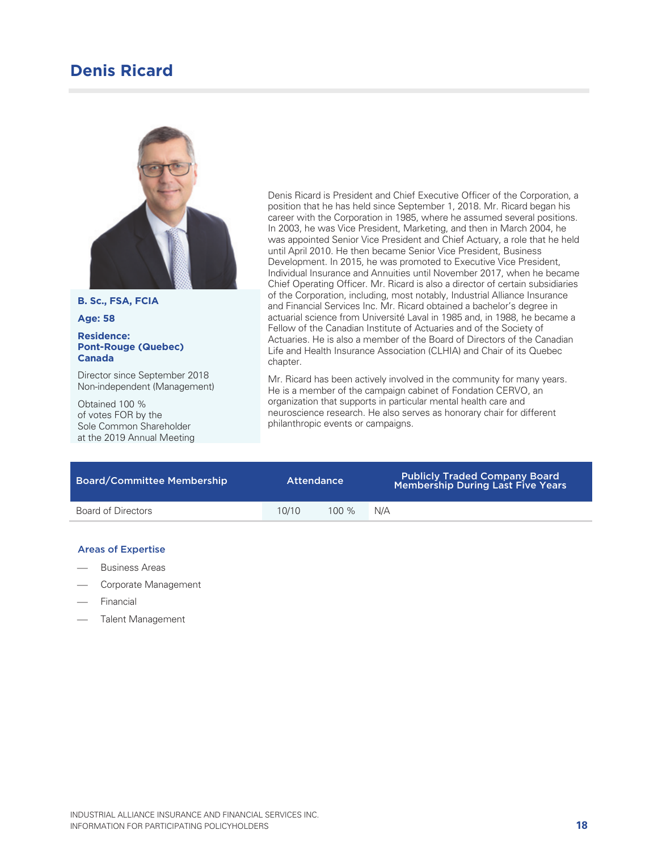# **Denis Ricard**



**B. Sc., FSA, FCIA** 

**Age: 58** 

#### **Residence: Pont-Rouge (Quebec) Canada**

Director since September 2018 Non-independent (Management)

Obtained 100 % of votes FOR by the Sole Common Shareholder at the 2019 Annual Meeting Denis Ricard is President and Chief Executive Officer of the Corporation, a position that he has held since September 1, 2018. Mr. Ricard began his career with the Corporation in 1985, where he assumed several positions. In 2003, he was Vice President, Marketing, and then in March 2004, he was appointed Senior Vice President and Chief Actuary, a role that he held until April 2010. He then became Senior Vice President, Business Development. In 2015, he was promoted to Executive Vice President, Individual Insurance and Annuities until November 2017, when he became Chief Operating Officer. Mr. Ricard is also a director of certain subsidiaries of the Corporation, including, most notably, Industrial Alliance Insurance and Financial Services Inc. Mr. Ricard obtained a bachelor's degree in actuarial science from Université Laval in 1985 and, in 1988, he became a Fellow of the Canadian Institute of Actuaries and of the Society of Actuaries. He is also a member of the Board of Directors of the Canadian Life and Health Insurance Association (CLHIA) and Chair of its Quebec chapter.

Mr. Ricard has been actively involved in the community for many years. He is a member of the campaign cabinet of Fondation CERVO, an organization that supports in particular mental health care and neuroscience research. He also serves as honorary chair for different philanthropic events or campaigns.

| <b>Board/Committee Membership</b> | <b>Attendance</b> |         | <b>Publicly Traded Company Board</b><br><b>Membership During Last Five Years</b> |
|-----------------------------------|-------------------|---------|----------------------------------------------------------------------------------|
| Board of Directors                | 10/10             | $100\%$ | N/A                                                                              |

- Business Areas
- Corporate Management
- Financial
- Talent Management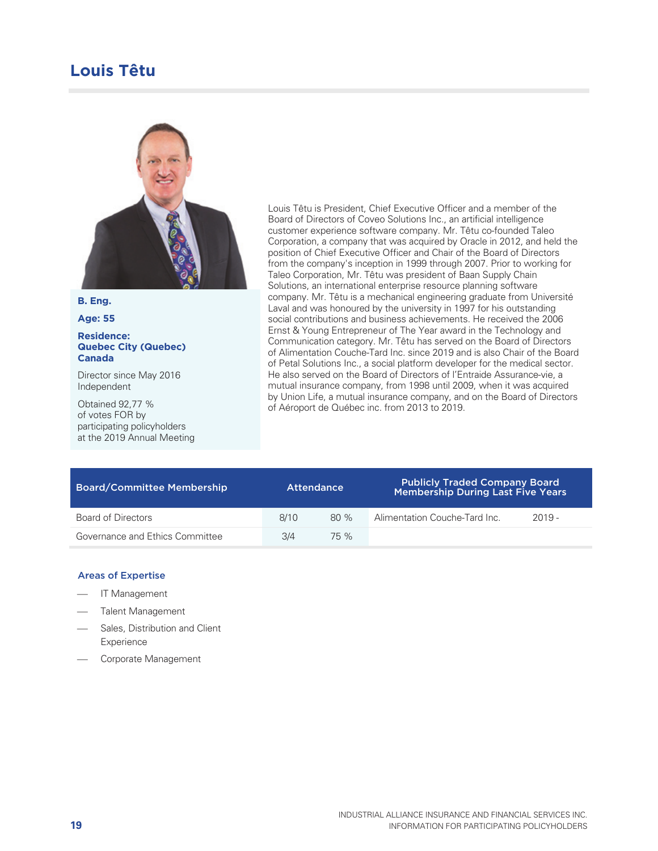# **Louis Têtu**



#### **B. Eng.**

**Age: 55** 

#### **Residence: Quebec City (Quebec) Canada**

Director since May 2016 Independent

Obtained 92,77 % of votes FOR by participating policyholders at the 2019 Annual Meeting Louis Têtu is President, Chief Executive Officer and a member of the Board of Directors of Coveo Solutions Inc., an artificial intelligence customer experience software company. Mr. Têtu co-founded Taleo Corporation, a company that was acquired by Oracle in 2012, and held the position of Chief Executive Officer and Chair of the Board of Directors from the company's inception in 1999 through 2007. Prior to working for Taleo Corporation, Mr. Têtu was president of Baan Supply Chain Solutions, an international enterprise resource planning software company. Mr. Têtu is a mechanical engineering graduate from Université Laval and was honoured by the university in 1997 for his outstanding social contributions and business achievements. He received the 2006 Ernst & Young Entrepreneur of The Year award in the Technology and Communication category. Mr. Têtu has served on the Board of Directors of Alimentation Couche-Tard Inc. since 2019 and is also Chair of the Board of Petal Solutions Inc., a social platform developer for the medical sector. He also served on the Board of Directors of l'Entraide Assurance-vie, a mutual insurance company, from 1998 until 2009, when it was acquired by Union Life, a mutual insurance company, and on the Board of Directors of Aéroport de Québec inc. from 2013 to 2019.

| <b>Board/Committee Membership</b> |      | <b>Attendance</b> | <b>Publicly Traded Company Board</b><br><b>Membership During Last Five Years</b> |          |  |  |  |
|-----------------------------------|------|-------------------|----------------------------------------------------------------------------------|----------|--|--|--|
| Board of Directors                | 8/10 | 80%               | Alimentation Couche-Tard Inc.                                                    | $2019 -$ |  |  |  |
| Governance and Ethics Committee   | 3/4  | 75 %              |                                                                                  |          |  |  |  |

- IT Management
- Talent Management
- Sales, Distribution and Client Experience
- Corporate Management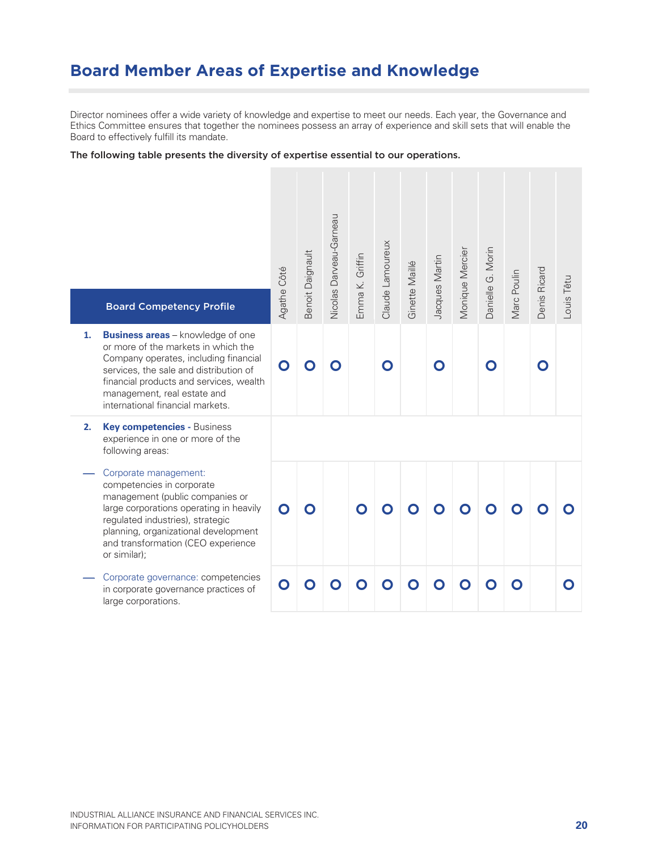# **Board Member Areas of Expertise and Knowledge**

Director nominees offer a wide variety of knowledge and expertise to meet our needs. Each year, the Governance and Ethics Committee ensures that together the nominees possess an array of experience and skill sets that will enable the Board to effectively fulfill its mandate.

#### The following table presents the diversity of expertise essential to our operations.

| <b>Board Competency Profile</b><br><b>Business areas</b> – knowledge of one<br>1.<br>or more of the markets in which the<br>Company operates, including financial<br>services, the sale and distribution of<br>financial products and services, wealth<br>management, real estate and<br>international financial markets. | Agathe Côté<br>O | <b>Benoit Daignault</b> | Vicolas Darveau-Garneau<br>$\bullet$ | Emma K. Griffin | Claude Lamoureux<br>O | Ginette Maillé | Jacques Martin<br>$\mathbf O$ | <b>Monique Mercier</b> | Danielle G. Morin<br>O | Marc Poulin | Denis Ricard<br>O | Louis Têtu |
|---------------------------------------------------------------------------------------------------------------------------------------------------------------------------------------------------------------------------------------------------------------------------------------------------------------------------|------------------|-------------------------|--------------------------------------|-----------------|-----------------------|----------------|-------------------------------|------------------------|------------------------|-------------|-------------------|------------|
| Key competencies - Business<br>2.<br>experience in one or more of the<br>following areas:                                                                                                                                                                                                                                 |                  |                         |                                      |                 |                       |                |                               |                        |                        |             |                   |            |
| Corporate management:<br>competencies in corporate<br>management (public companies or<br>large corporations operating in heavily<br>regulated industries), strategic<br>planning, organizational development<br>and transformation (CEO experience<br>or similar);                                                        | O                | O                       |                                      | O               | O                     | $\bullet$      |                               |                        |                        |             |                   |            |
| Corporate governance: competencies<br>in corporate governance practices of<br>large corporations.                                                                                                                                                                                                                         | O                |                         |                                      | $\bullet$       | $\bullet$             |                | $\bullet$                     | $\bullet$              |                        |             |                   |            |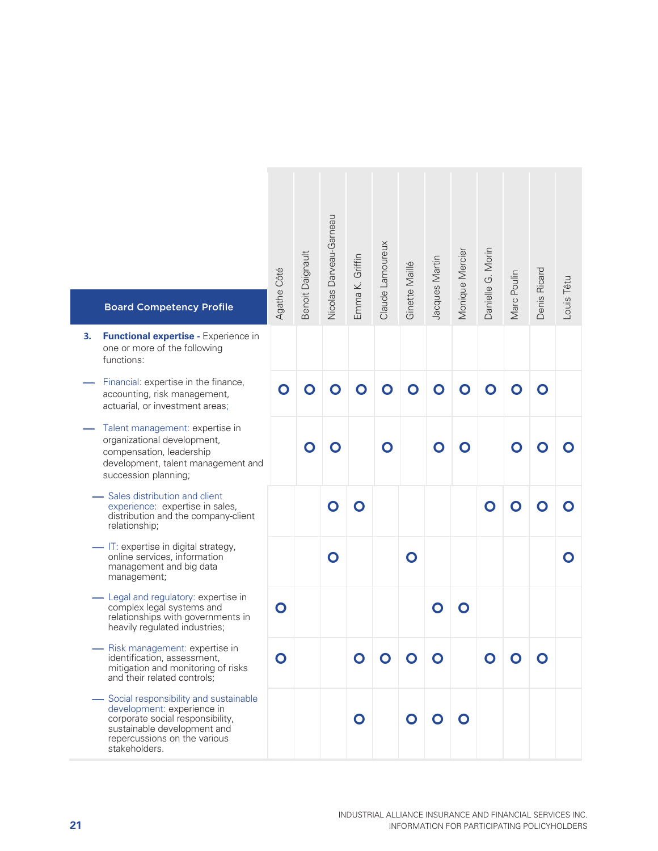| <b>Board Competency Profile</b>                                                                                                                                                           | Agathe Côté | Benoit Daignault | Nicolas Darveau-Gameau | Emma K. Griffin | Claude Lamoureux | Ginette Maillé | Jacques Martin | Monique Mercier | Danielle G. Morin | Marc Poulin | Denis Ricard | Louis Têtu |
|-------------------------------------------------------------------------------------------------------------------------------------------------------------------------------------------|-------------|------------------|------------------------|-----------------|------------------|----------------|----------------|-----------------|-------------------|-------------|--------------|------------|
| Functional expertise - Experience in<br>З.<br>one or more of the following<br>functions:                                                                                                  |             |                  |                        |                 |                  |                |                |                 |                   |             |              |            |
| Financial: expertise in the finance,<br>accounting, risk management,<br>actuarial, or investment areas;                                                                                   | O           | O                | O                      | O               | $\mathbf O$      | O              | O              | O               | O                 | O           | O            |            |
| Talent management: expertise in<br>organizational development,<br>compensation, leadership<br>development, talent management and<br>succession planning;                                  |             | O                | O                      |                 | O                |                | $\mathbf O$    | O               |                   | O           |              |            |
| - Sales distribution and client<br>experience: expertise in sales,<br>distribution and the company-client<br>relationship;                                                                |             |                  | O                      | O               |                  |                |                |                 | O                 | O           |              |            |
| - IT: expertise in digital strategy,<br>online services, information<br>management and big data<br>management;                                                                            |             |                  | $\mathbf O$            |                 |                  | $\mathbf O$    |                |                 |                   |             |              | O          |
| Legal and regulatory: expertise in<br>complex legal systems and<br>relationships with governments in<br>heavily regulated industries;                                                     | $\mathbf O$ |                  |                        |                 |                  |                | O              | O               |                   |             |              |            |
| Risk management: expertise in<br>identification, assessment,<br>mitigation and monitoring of risks<br>and their related controls;                                                         | O           |                  |                        | $\bullet$       | $\mathbf O$      | $\mathbf O$    | O              |                 | $\bullet$         | $\mathbf O$ | O            |            |
| - Social responsibility and sustainable<br>development: experience in<br>corporate social responsibility,<br>sustainable development and<br>repercussions on the various<br>stakeholders. |             |                  |                        | $\mathbf O$     |                  | $\mathbf O$    | $\mathbf O$    | O               |                   |             |              |            |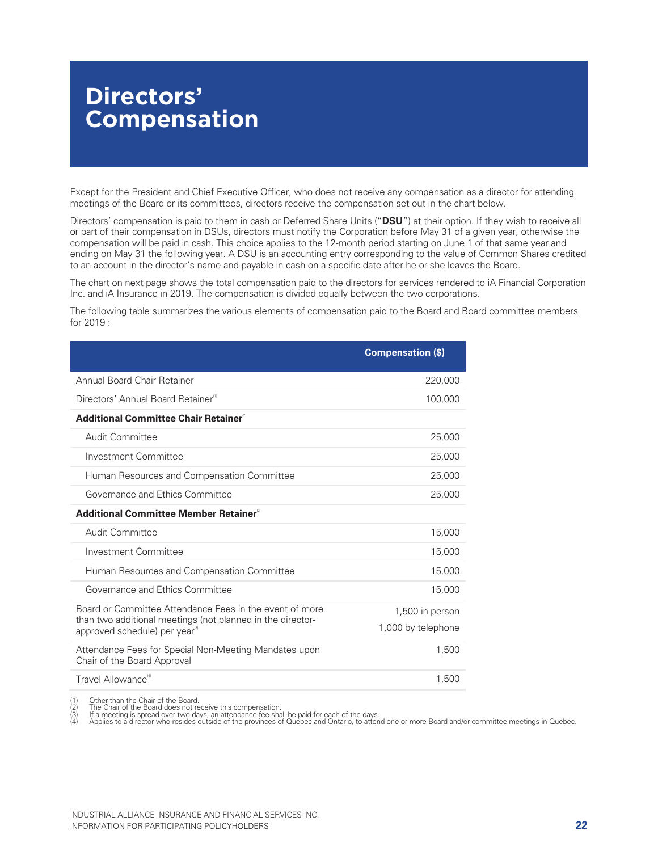# **Directors' Compensation**

Except for the President and Chief Executive Officer, who does not receive any compensation as a director for attending meetings of the Board or its committees, directors receive the compensation set out in the chart below.

Directors' compensation is paid to them in cash or Deferred Share Units ("**DSU**") at their option. If they wish to receive all or part of their compensation in DSUs, directors must notify the Corporation before May 31 of a given year, otherwise the compensation will be paid in cash. This choice applies to the 12-month period starting on June 1 of that same year and ending on May 31 the following year. A DSU is an accounting entry corresponding to the value of Common Shares credited to an account in the director's name and payable in cash on a specific date after he or she leaves the Board.

The chart on next page shows the total compensation paid to the directors for services rendered to iA Financial Corporation Inc. and iA Insurance in 2019. The compensation is divided equally between the two corporations.

The following table summarizes the various elements of compensation paid to the Board and Board committee members for 2019 :

|                                                                                                         | <b>Compensation (\$)</b> |
|---------------------------------------------------------------------------------------------------------|--------------------------|
| Annual Board Chair Retainer                                                                             | 220,000                  |
| Directors' Annual Board Retainer <sup>(1)</sup>                                                         | 100,000                  |
| Additional Committee Chair Retainer <sup>27</sup>                                                       |                          |
| Audit Committee                                                                                         | 25,000                   |
| Investment Committee                                                                                    | 25,000                   |
| Human Resources and Compensation Committee                                                              | 25,000                   |
| Governance and Ethics Committee                                                                         | 25,000                   |
| Additional Committee Member Retainer <sup>2</sup>                                                       |                          |
| Audit Committee                                                                                         | 15,000                   |
| Investment Committee                                                                                    | 15,000                   |
| Human Resources and Compensation Committee                                                              | 15,000                   |
| Governance and Ethics Committee                                                                         | 15,000                   |
| Board or Committee Attendance Fees in the event of more                                                 | 1,500 in person          |
| than two additional meetings (not planned in the director-<br>approved schedule) per year <sup>39</sup> | 1,000 by telephone       |
| Attendance Fees for Special Non-Meeting Mandates upon<br>Chair of the Board Approval                    | 1,500                    |
| Travel Allowance <sup>(4)</sup>                                                                         | 1,500                    |

(1) Other than the Chair of the Board. (2) The Chair of the Board does not receive this compensation.

(3) If a meeting is spread over two days, an attendance fee shall be paid for each of the days.<br>(4) Applies to a director who resides outside of the provinces of Quebec and Ontario, to attend one or more Board and/or commi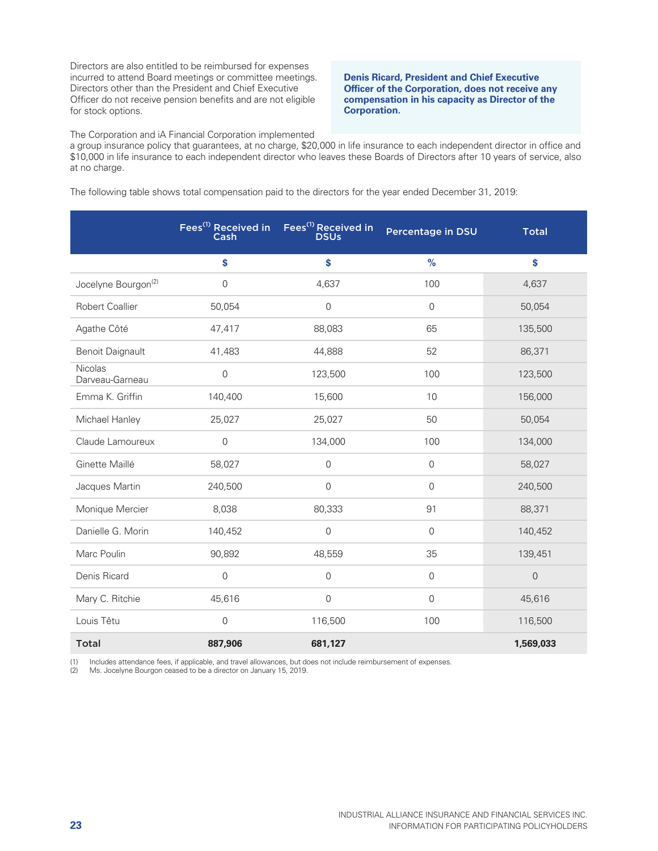Directors are also entitled to be reimbursed for expenses incurred to attend Board meetings or committee meetings. Directors other than the President and Chief Executive Officer do not receive pension benefits and are not eligible for stock options.

**Denis Ricard, President and Chief Executive Officer of the Corporation, does not receive any compensation in his capacity as Director of the Corporation.** 

The Corporation and iA Financial Corporation implemented

a group insurance policy that guarantees, at no charge, \$20,000 in life insurance to each independent director in office and \$10,000 in life insurance to each independent director who leaves these Boards of Directors after 10 years of service, also at no charge.

The following table shows total compensation paid to the directors for the year ended December 31, 2019:

|                                 | Fees <sup>(1)</sup> Received in<br>Cash | Fees <sup>(1)</sup> Received in<br><b>DSUs</b> | Percentage in DSU | <b>Total</b>   |
|---------------------------------|-----------------------------------------|------------------------------------------------|-------------------|----------------|
|                                 | \$                                      | \$                                             | $\frac{9}{6}$     | \$             |
| Jocelyne Bourgon <sup>(2)</sup> | 0                                       | 4,637                                          | 100               | 4,637          |
| <b>Robert Coallier</b>          | 50,054                                  | $\mathbf 0$                                    | $\overline{0}$    | 50,054         |
| Agathe Côté                     | 47,417                                  | 88,083                                         | 65                | 135,500        |
| <b>Benoit Daignault</b>         | 41,483                                  | 44,888                                         | 52                | 86,371         |
| Nicolas<br>Darveau-Garneau      | $\mathbf 0$                             | 123,500                                        | 100               | 123,500        |
| Emma K. Griffin                 | 140,400                                 | 15,600                                         | 10                | 156,000        |
| Michael Hanley                  | 25,027                                  | 25,027                                         | 50                | 50,054         |
| Claude Lamoureux                | $\overline{0}$                          | 134,000                                        | 100               | 134,000        |
| Ginette Maillé                  | 58,027                                  | $\overline{0}$                                 | $\mathbf 0$       | 58,027         |
| Jacques Martin                  | 240,500                                 | $\mathbf 0$                                    | 0                 | 240,500        |
| Monique Mercier                 | 8,038                                   | 80,333                                         | 91                | 88,371         |
| Danielle G. Morin               | 140,452                                 | $\mathbf{0}$                                   | $\overline{0}$    | 140,452        |
| Marc Poulin                     | 90,892                                  | 48,559                                         | 35                | 139,451        |
| Denis Ricard                    | $\mathbf 0$                             | $\mathbf 0$                                    | $\mathbf 0$       | $\overline{0}$ |
| Mary C. Ritchie                 | 45,616                                  | $\mathsf{O}\xspace$                            | $\mathbf 0$       | 45,616         |
| Louis Têtu                      | $\mathsf{O}\xspace$                     | 116,500                                        | 100               | 116,500        |
| <b>Total</b>                    | 887,906                                 | 681,127                                        |                   | 1,569,033      |

(1) Includes attendance fees, if applicable, and travel allowances, but does not include reimbursement of expenses. (2) Ms. Jocelyne Bourgon ceased to be a director on January 15, 2019.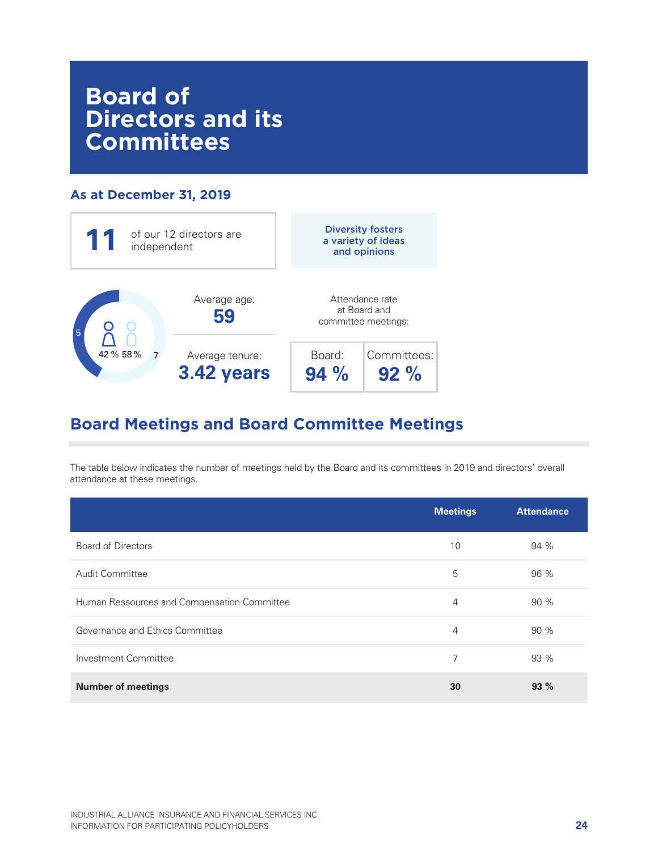# **Board of Directors and its Committees**

# **As at December 31, 2019**



# **Board Meetings and Board Committee Meetings**

The table below indicates the number of meetings held by the Board and its committees in 2019 and directors' overall attendance at these meetings.

|                                             | <b>Meetings</b> | <b>Attendance</b> |
|---------------------------------------------|-----------------|-------------------|
| <b>Board of Directors</b>                   | 10              | 94 %              |
| Audit Committee                             | 5               | 96 %              |
| Human Ressources and Compensation Committee | 4               | 90 %              |
| Governance and Ethics Committee             | $\overline{4}$  | 90%               |
| Investment Committee                        | 7               | 93 %              |
| <b>Number of meetings</b>                   | 30              | 93%               |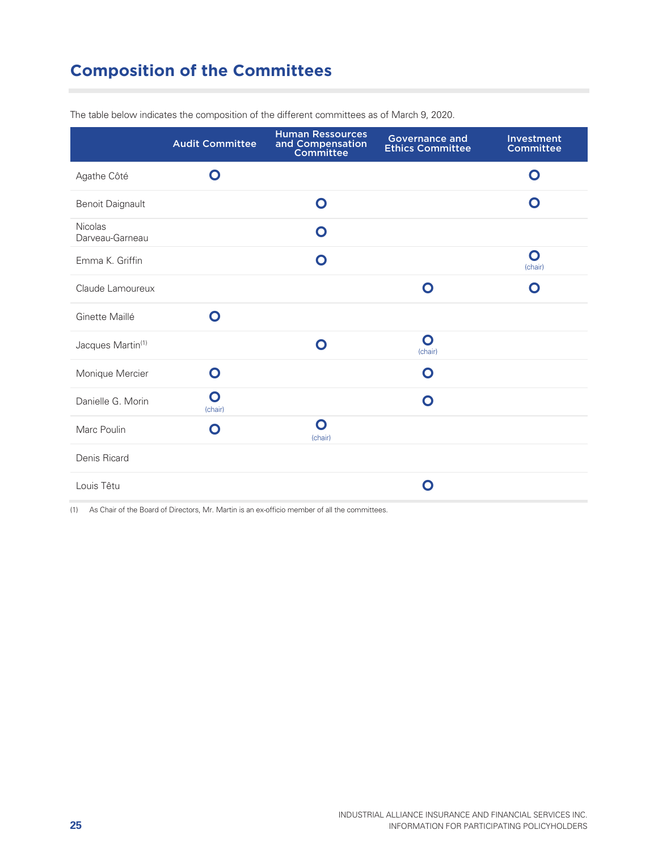# **Composition of the Committees**

|                                   | <b>Audit Committee</b> | <b>Human Ressources</b><br>and Compensation<br>Committee | <b>Governance and</b><br><b>Ethics Committee</b> | Investment<br>Committee |
|-----------------------------------|------------------------|----------------------------------------------------------|--------------------------------------------------|-------------------------|
| Agathe Côté                       | $\mathbf O$            |                                                          |                                                  | $\mathbf O$             |
| <b>Benoit Daignault</b>           |                        | $\bullet$                                                |                                                  | O                       |
| <b>Nicolas</b><br>Darveau-Garneau |                        | O                                                        |                                                  |                         |
| Emma K. Griffin                   |                        | $\mathbf O$                                              |                                                  | $\mathbf O$<br>(chair)  |
| Claude Lamoureux                  |                        |                                                          | O                                                | O                       |
| Ginette Maillé                    | Ω                      |                                                          |                                                  |                         |
| Jacques Martin <sup>(1)</sup>     |                        | $\mathbf O$                                              | O<br>(chair)                                     |                         |
| Monique Mercier                   | $\mathbf O$            |                                                          | O                                                |                         |
| Danielle G. Morin                 | $\mathbf O$<br>(chair) |                                                          | $\mathbf O$                                      |                         |
| Marc Poulin                       | O                      | $\mathbf O$<br>(chair)                                   |                                                  |                         |
| Denis Ricard                      |                        |                                                          |                                                  |                         |
| Louis Têtu                        |                        |                                                          | Ω                                                |                         |

The table below indicates the composition of the different committees as of March 9, 2020.

(1) As Chair of the Board of Directors, Mr. Martin is an ex-officio member of all the committees.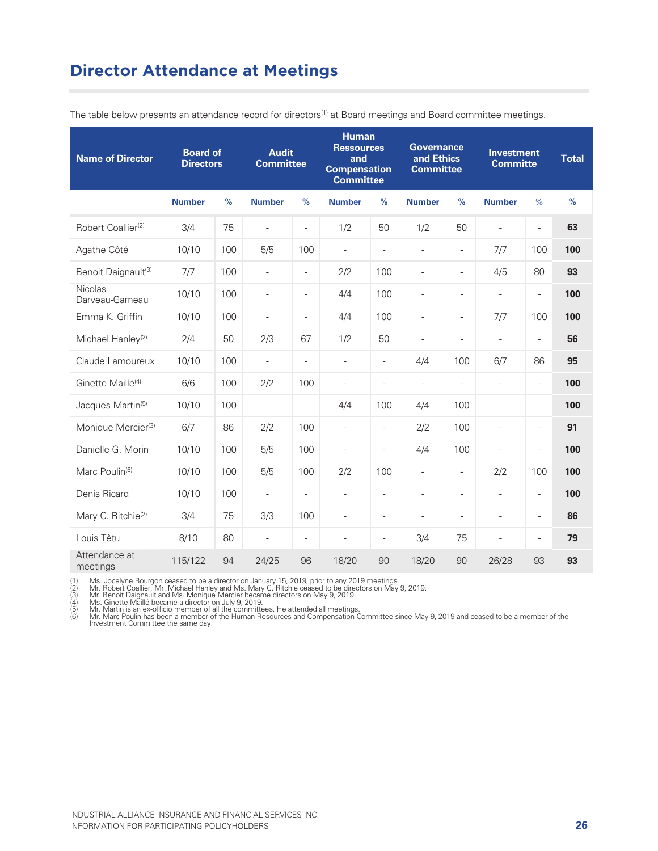# **Director Attendance at Meetings**

| <b>Name of Director</b>         | <b>Board of</b><br><b>Directors</b> |               | <b>Audit</b><br><b>Committee</b> |                          | <b>Human</b><br><b>Ressources</b><br>and<br><b>Compensation</b><br><b>Committee</b> |                          | <b>Governance</b><br>and Ethics<br><b>Committee</b> |                          | <b>Investment</b><br><b>Committe</b> |                          | <b>Total</b>  |
|---------------------------------|-------------------------------------|---------------|----------------------------------|--------------------------|-------------------------------------------------------------------------------------|--------------------------|-----------------------------------------------------|--------------------------|--------------------------------------|--------------------------|---------------|
|                                 | <b>Number</b>                       | $\frac{9}{6}$ | <b>Number</b>                    | $\frac{9}{6}$            | <b>Number</b>                                                                       | $\frac{9}{6}$            | <b>Number</b>                                       | $\frac{9}{6}$            | <b>Number</b>                        | $\%$                     | $\frac{9}{6}$ |
| Robert Coallier <sup>(2)</sup>  | 3/4                                 | 75            | $\equiv$                         | $\equiv$                 | 1/2                                                                                 | 50                       | 1/2                                                 | 50                       | $\overline{\phantom{a}}$             | $\bar{\phantom{a}}$      | 63            |
| Agathe Côté                     | 10/10                               | 100           | 5/5                              | 100                      | $\overline{\phantom{a}}$                                                            | $\blacksquare$           | $\bar{\phantom{a}}$                                 | $\overline{\phantom{a}}$ | 7/7                                  | 100                      | 100           |
| Benoit Daignault <sup>(3)</sup> | 7/7                                 | 100           | $\overline{\phantom{a}}$         | $\equiv$                 | 2/2                                                                                 | 100                      | $\overline{a}$                                      | $\overline{\phantom{a}}$ | 4/5                                  | 80                       | 93            |
| Nicolas<br>Darveau-Garneau      | 10/10                               | 100           | $\overline{\phantom{0}}$         | $\overline{\phantom{a}}$ | 4/4                                                                                 | 100                      | $\overline{\phantom{a}}$                            | $\overline{\phantom{a}}$ | $\overline{\phantom{a}}$             | $\overline{\phantom{a}}$ | 100           |
| Emma K. Griffin                 | 10/10                               | 100           | $\overline{\phantom{0}}$         | $\overline{\phantom{a}}$ | 4/4                                                                                 | 100                      | $\overline{\phantom{a}}$                            | $\overline{\phantom{a}}$ | 7/7                                  | 100                      | 100           |
| Michael Hanley <sup>(2)</sup>   | 2/4                                 | 50            | 2/3                              | 67                       | 1/2                                                                                 | 50                       | $\overline{\phantom{a}}$                            | $\overline{a}$           | $\overline{\phantom{a}}$             | $\equiv$                 | 56            |
| Claude Lamoureux                | 10/10                               | 100           | $\overline{\phantom{a}}$         | $\equiv$                 | $\equiv$                                                                            | $\overline{a}$           | 4/4                                                 | 100                      | 6/7                                  | 86                       | 95            |
| Ginette Maillé <sup>(4)</sup>   | 6/6                                 | 100           | 2/2                              | 100                      | $\overline{\phantom{a}}$                                                            | $\qquad \qquad -$        | $\overline{\phantom{a}}$                            | $\overline{\phantom{a}}$ | $\overline{\phantom{a}}$             | $\overline{\phantom{a}}$ | 100           |
| Jacques Martin <sup>(5)</sup>   | 10/10                               | 100           |                                  |                          | 4/4                                                                                 | 100                      | 4/4                                                 | 100                      |                                      |                          | 100           |
| Monique Mercier <sup>(3)</sup>  | 6/7                                 | 86            | 2/2                              | 100                      | $\equiv$                                                                            | $\overline{\phantom{a}}$ | 2/2                                                 | 100                      | $\overline{a}$                       | $\overline{\phantom{a}}$ | 91            |
| Danielle G. Morin               | 10/10                               | 100           | 5/5                              | 100                      | $\overline{\phantom{a}}$                                                            | ÷,                       | 4/4                                                 | 100                      | $\overline{\phantom{a}}$             | $\overline{\phantom{a}}$ | 100           |
| Marc Poulin <sup>(6)</sup>      | 10/10                               | 100           | 5/5                              | 100                      | 2/2                                                                                 | 100                      | $\overline{\phantom{a}}$                            | $\overline{\phantom{a}}$ | 2/2                                  | 100                      | 100           |
| Denis Ricard                    | 10/10                               | 100           | $\equiv$                         | $\blacksquare$           | $\equiv$                                                                            | $\overline{\phantom{0}}$ | $\overline{a}$                                      | $\equiv$                 | $\equiv$                             | $\equiv$                 | 100           |
| Mary C. Ritchie <sup>(2)</sup>  | 3/4                                 | 75            | 3/3                              | 100                      | $\overline{\phantom{a}}$                                                            | $\overline{\phantom{a}}$ | $\overline{\phantom{a}}$                            | $\overline{\phantom{0}}$ | $\overline{\phantom{a}}$             | $\overline{\phantom{a}}$ | 86            |
| Louis Têtu                      | 8/10                                | 80            | $\overline{\phantom{a}}$         | $\equiv$                 | $\overline{\phantom{a}}$                                                            | $\overline{\phantom{a}}$ | 3/4                                                 | 75                       | $\overline{\phantom{a}}$             | $\overline{\phantom{a}}$ | 79            |
| Attendance at<br>meetings       | 115/122                             | 94            | 24/25                            | 96                       | 18/20                                                                               | 90                       | 18/20                                               | 90                       | 26/28                                | 93                       | 93            |

The table below presents an attendance record for directors<sup>(1)</sup> at Board meetings and Board committee meetings.

(1) Ms. Jocelyne Bourgon ceased to be a director on January 15, 2019, prior to any 2019 meetings.<br>(2) Mr. Robert Coallier, Mr. Michael Hanley and Ms. Mary C. Ritchie ceased to be directors on May 9, 2019.<br>(3) Mr. Benoit Da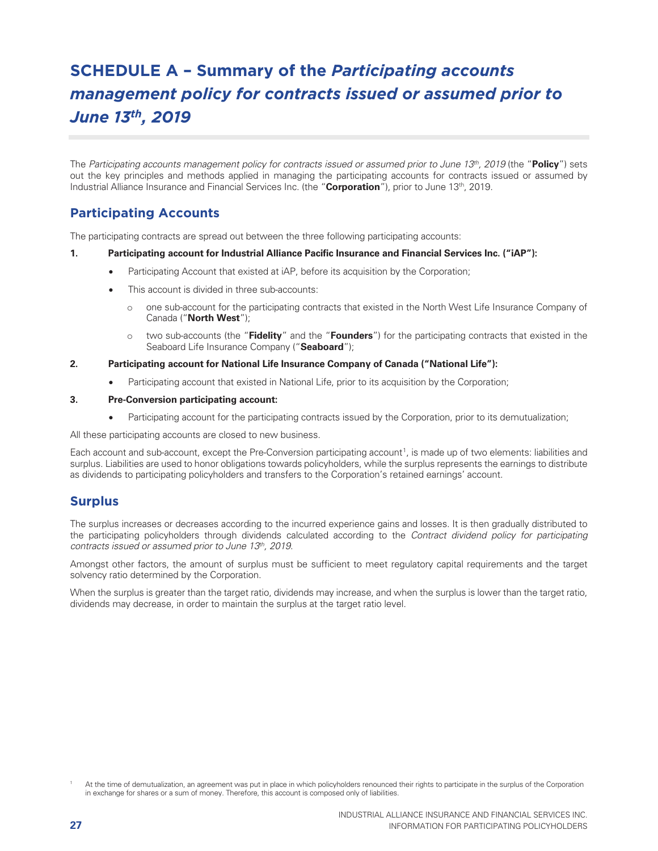# **SCHEDULE A – Summary of the** *Participating accounts management policy for contracts issued or assumed prior to June 13th, 2019*

The Participating accounts management policy for contracts issued or assumed prior to June 13th, 2019 (the "**Policy**") sets out the key principles and methods applied in managing the participating accounts for contracts issued or assumed by Industrial Alliance Insurance and Financial Services Inc. (the "**Corporation**"), prior to June 13th, 2019.

# **Participating Accounts**

The participating contracts are spread out between the three following participating accounts:

#### **1. Participating account for Industrial Alliance Pacific Insurance and Financial Services Inc. ("iAP"):**

- Participating Account that existed at iAP, before its acquisition by the Corporation;
- This account is divided in three sub-accounts:
	- o one sub-account for the participating contracts that existed in the North West Life Insurance Company of Canada ("**North West**");
	- o two sub-accounts (the "**Fidelity**" and the "**Founders**") for the participating contracts that existed in the Seaboard Life Insurance Company ("**Seaboard**");

#### **2. Participating account for National Life Insurance Company of Canada ("National Life"):**

• Participating account that existed in National Life, prior to its acquisition by the Corporation;

#### **3. Pre-Conversion participating account:**

• Participating account for the participating contracts issued by the Corporation, prior to its demutualization;

All these participating accounts are closed to new business.

Each account and sub-account, except the Pre-Conversion participating account<sup>1</sup>, is made up of two elements: liabilities and surplus. Liabilities are used to honor obligations towards policyholders, while the surplus represents the earnings to distribute as dividends to participating policyholders and transfers to the Corporation's retained earnings' account.

#### **Surplus**

The surplus increases or decreases according to the incurred experience gains and losses. It is then gradually distributed to the participating policyholders through dividends calculated according to the Contract dividend policy for participating contracts issued or assumed prior to June 13th, 2019.

Amongst other factors, the amount of surplus must be sufficient to meet regulatory capital requirements and the target solvency ratio determined by the Corporation.

When the surplus is greater than the target ratio, dividends may increase, and when the surplus is lower than the target ratio, dividends may decrease, in order to maintain the surplus at the target ratio level.

<sup>1</sup> At the time of demutualization, an agreement was put in place in which policyholders renounced their rights to participate in the surplus of the Corporation in exchange for shares or a sum of money. Therefore, this account is composed only of liabilities.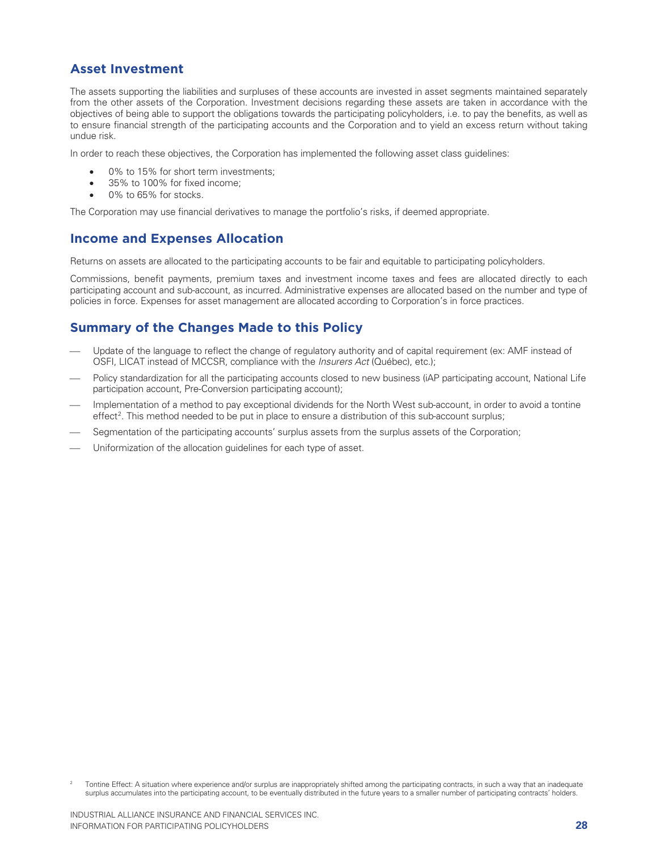# **Asset Investment**

The assets supporting the liabilities and surpluses of these accounts are invested in asset segments maintained separately from the other assets of the Corporation. Investment decisions regarding these assets are taken in accordance with the objectives of being able to support the obligations towards the participating policyholders, i.e. to pay the benefits, as well as to ensure financial strength of the participating accounts and the Corporation and to yield an excess return without taking undue risk.

In order to reach these objectives, the Corporation has implemented the following asset class guidelines:

- 0% to 15% for short term investments;
- 35% to 100% for fixed income:
- 0% to 65% for stocks.

The Corporation may use financial derivatives to manage the portfolio's risks, if deemed appropriate.

### **Income and Expenses Allocation**

Returns on assets are allocated to the participating accounts to be fair and equitable to participating policyholders.

Commissions, benefit payments, premium taxes and investment income taxes and fees are allocated directly to each participating account and sub-account, as incurred. Administrative expenses are allocated based on the number and type of policies in force. Expenses for asset management are allocated according to Corporation's in force practices.

# **Summary of the Changes Made to this Policy**

- Update of the language to reflect the change of regulatory authority and of capital requirement (ex: AMF instead of OSFI, LICAT instead of MCCSR, compliance with the *Insurers Act* (Québec), etc.);
- Policy standardization for all the participating accounts closed to new business (iAP participating account, National Life participation account, Pre-Conversion participating account);
- Implementation of a method to pay exceptional dividends for the North West sub-account, in order to avoid a tontine effect<sup>2</sup>. This method needed to be put in place to ensure a distribution of this sub-account surplus;
- Segmentation of the participating accounts' surplus assets from the surplus assets of the Corporation;
- Uniformization of the allocation guidelines for each type of asset.

<sup>2</sup> Tontine Effect: A situation where experience and/or surplus are inappropriately shifted among the participating contracts, in such a way that an inadequate surplus accumulates into the participating account, to be eventually distributed in the future years to a smaller number of participating contracts' holders.